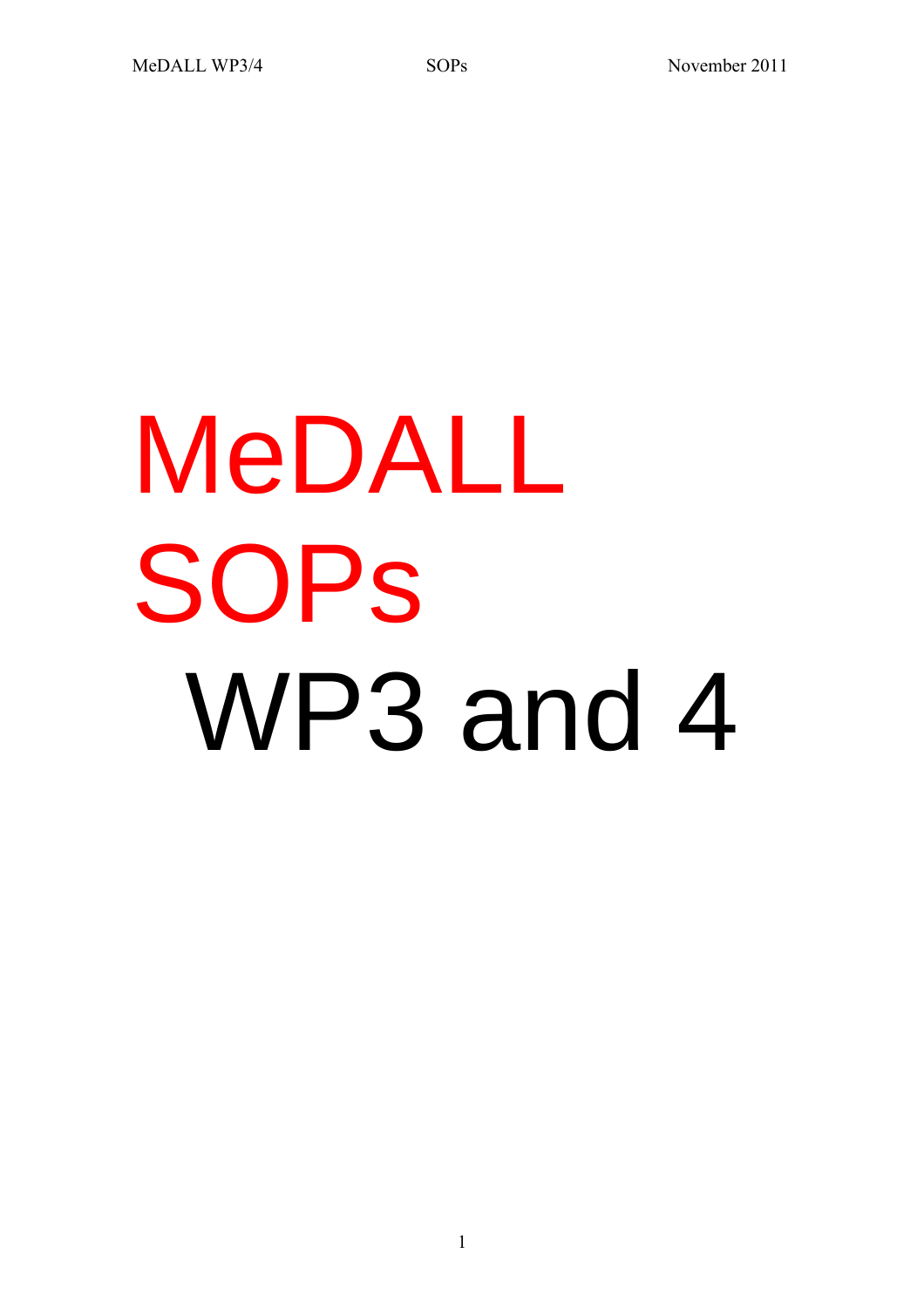# MeDALL **SOPS** WP3 and 4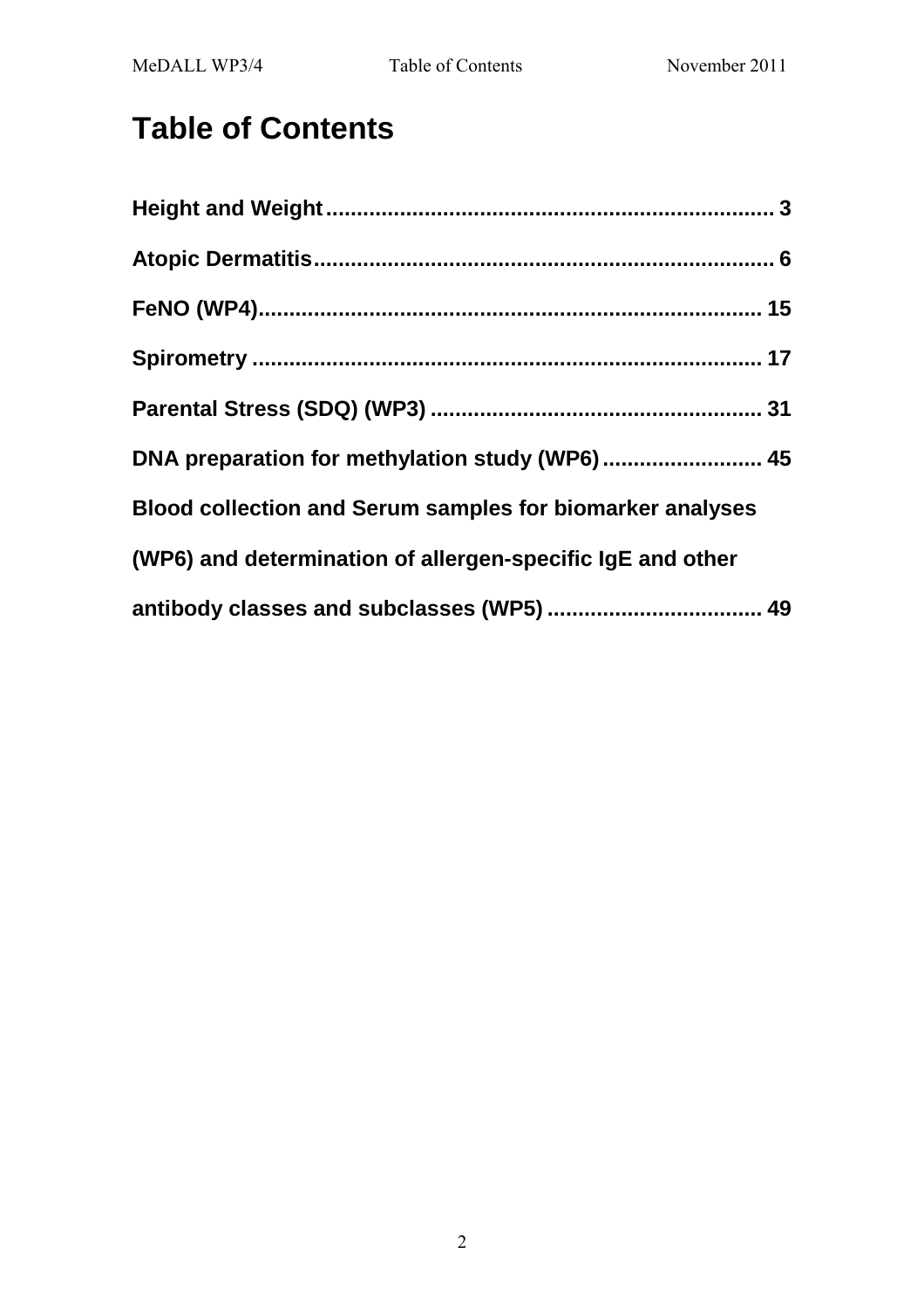# **Table of Contents**

| DNA preparation for methylation study (WP6) 45                   |
|------------------------------------------------------------------|
| <b>Blood collection and Serum samples for biomarker analyses</b> |
| (WP6) and determination of allergen-specific IgE and other       |
|                                                                  |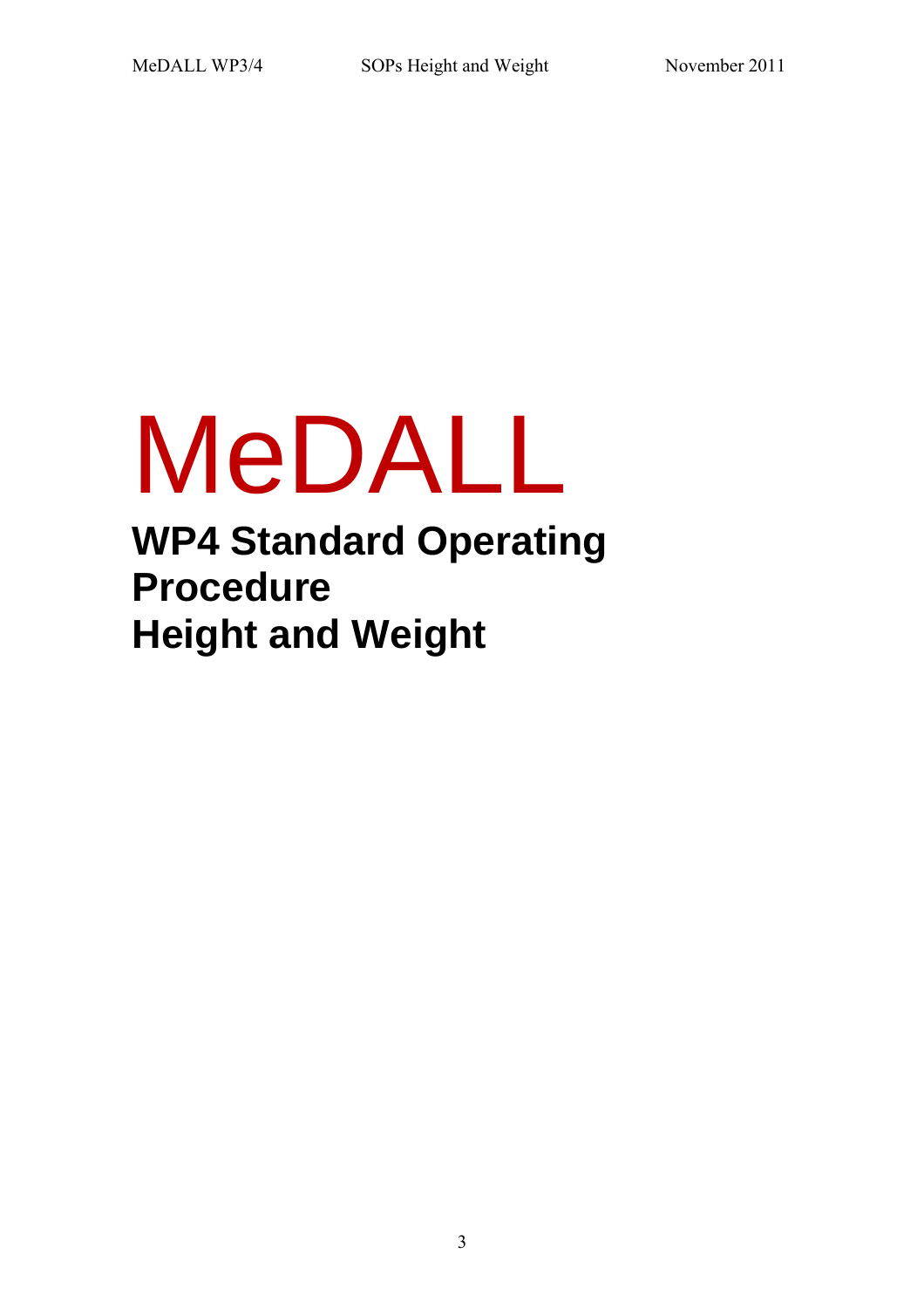# MeDALL

**WP4 Standard Operating Procedure Height and Weight** 

3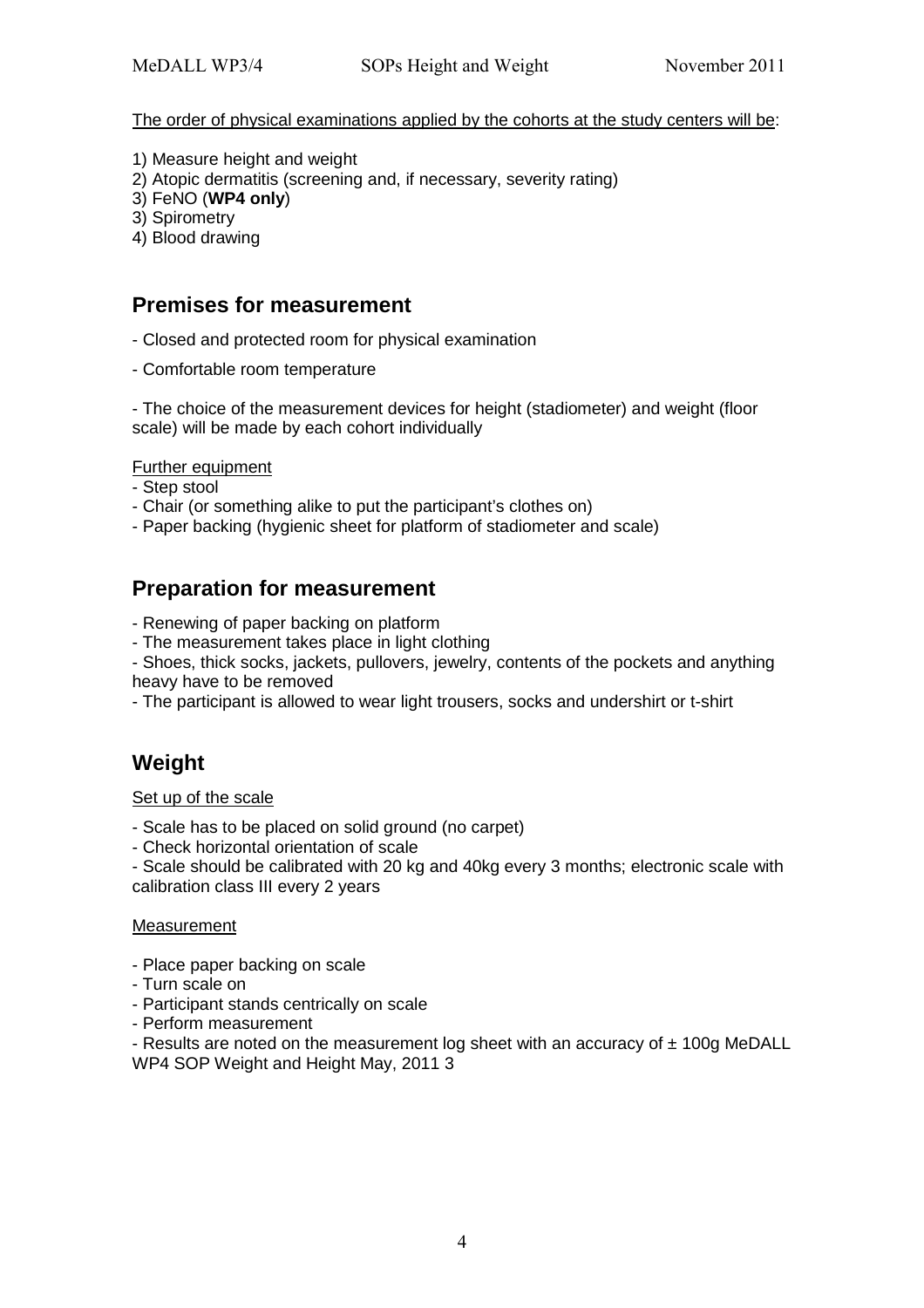The order of physical examinations applied by the cohorts at the study centers will be:

- 1) Measure height and weight
- 2) Atopic dermatitis (screening and, if necessary, severity rating)
- 3) FeNO (**WP4 only**)
- 3) Spirometry
- 4) Blood drawing

### **Premises for measurement**

- Closed and protected room for physical examination
- Comfortable room temperature

- The choice of the measurement devices for height (stadiometer) and weight (floor scale) will be made by each cohort individually

#### Further equipment

- Step stool
- Chair (or something alike to put the participant's clothes on)
- Paper backing (hygienic sheet for platform of stadiometer and scale)

## **Preparation for measurement**

- Renewing of paper backing on platform
- The measurement takes place in light clothing
- Shoes, thick socks, jackets, pullovers, jewelry, contents of the pockets and anything heavy have to be removed
- The participant is allowed to wear light trousers, socks and undershirt or t-shirt

# **Weight**

#### Set up of the scale

- Scale has to be placed on solid ground (no carpet)
- Check horizontal orientation of scale
- Scale should be calibrated with 20 kg and 40kg every 3 months; electronic scale with calibration class III every 2 years

#### **Measurement**

- Place paper backing on scale
- Turn scale on
- Participant stands centrically on scale
- Perform measurement

- Results are noted on the measurement log sheet with an accuracy of  $\pm$  100g MeDALL WP4 SOP Weight and Height May, 2011 3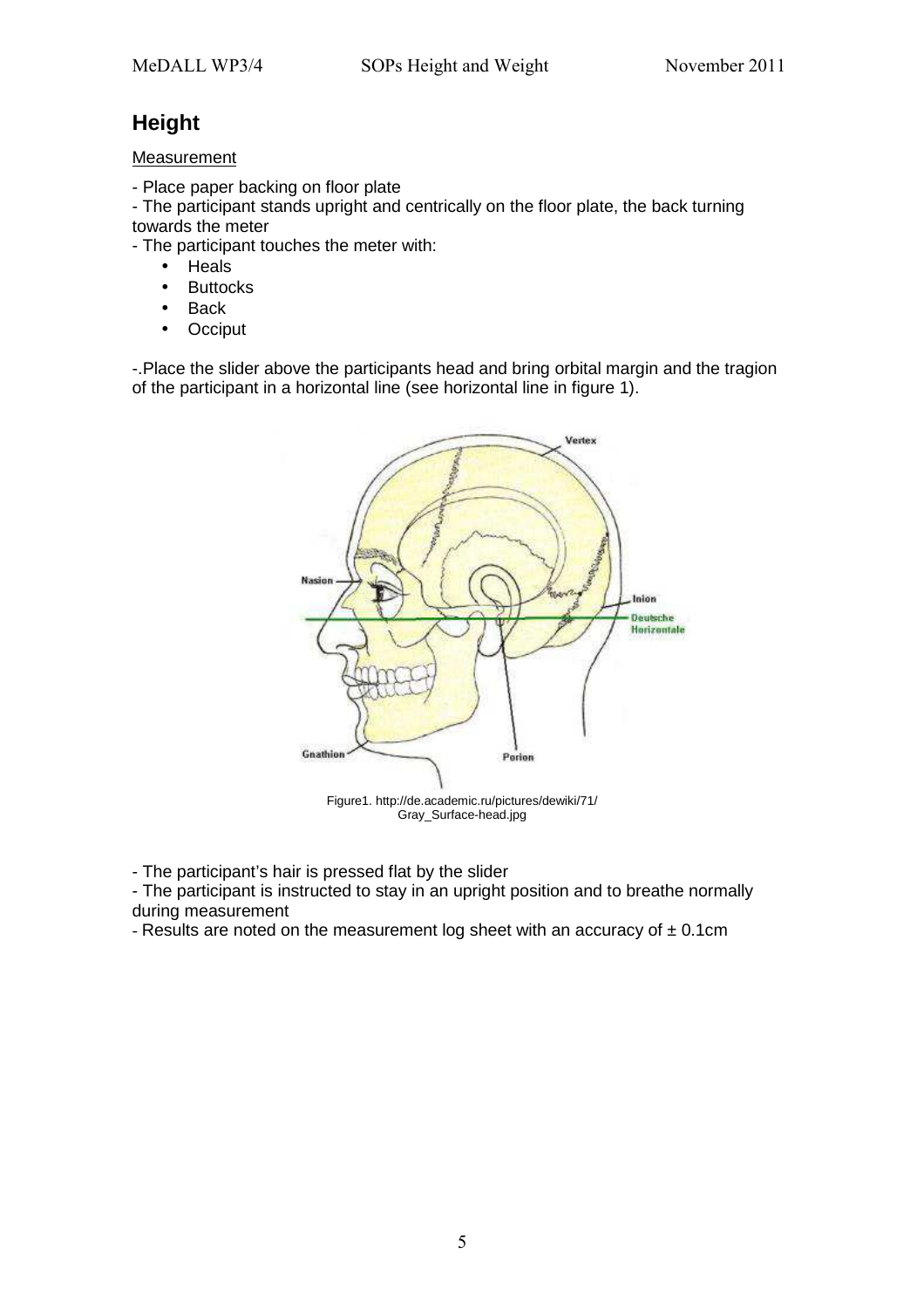# **Height**

#### Measurement

- Place paper backing on floor plate

- The participant stands upright and centrically on the floor plate, the back turning towards the meter

- The participant touches the meter with:
	- Heals
	- Buttocks
	- Back
	- Occiput

-.Place the slider above the participants head and bring orbital margin and the tragion of the participant in a horizontal line (see horizontal line in figure 1).



- The participant's hair is pressed flat by the slider

- The participant is instructed to stay in an upright position and to breathe normally during measurement

- Results are noted on the measurement log sheet with an accuracy of  $\pm$  0.1cm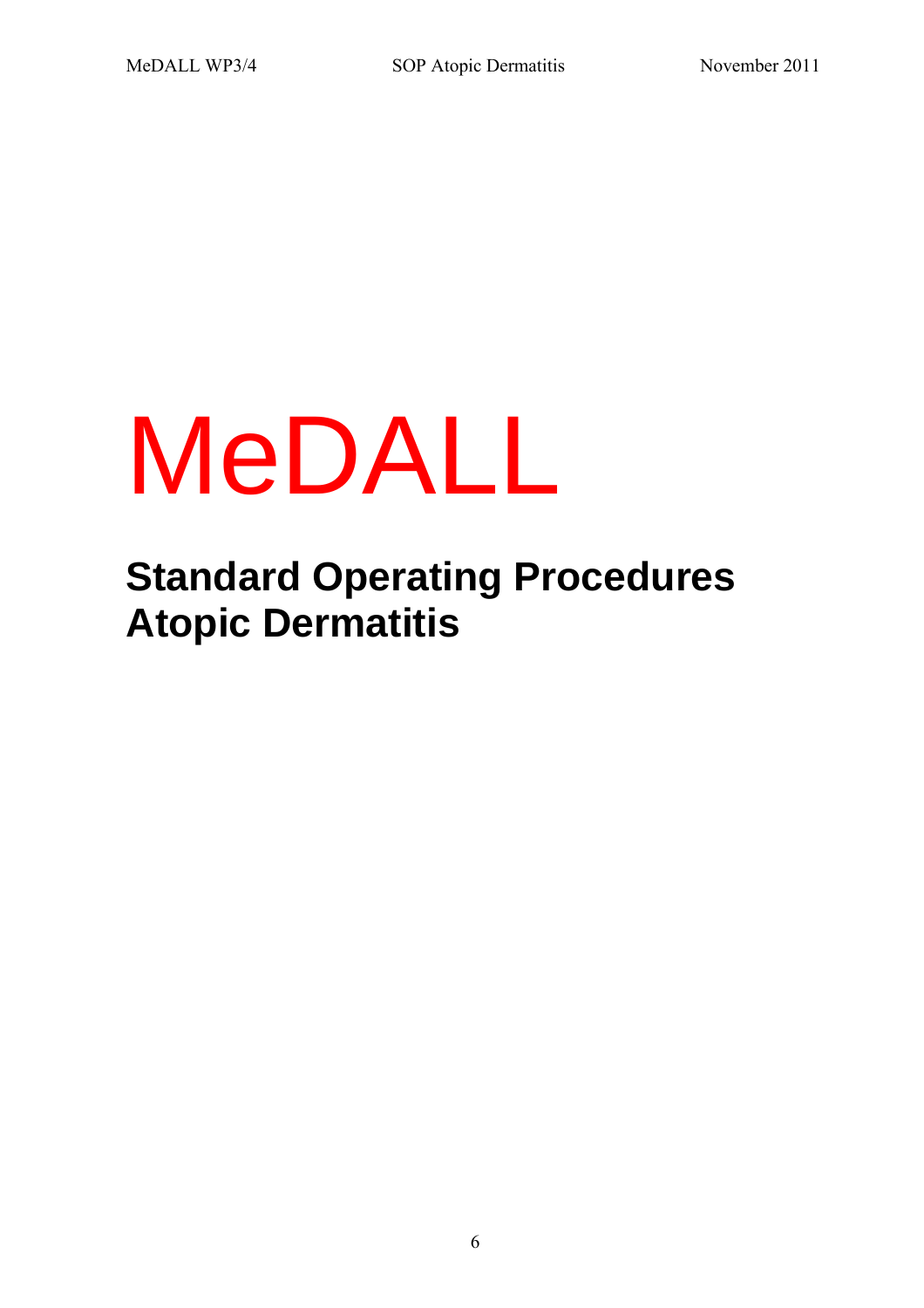# MeDALL

# **Standard Operating Procedures Atopic Dermatitis**

6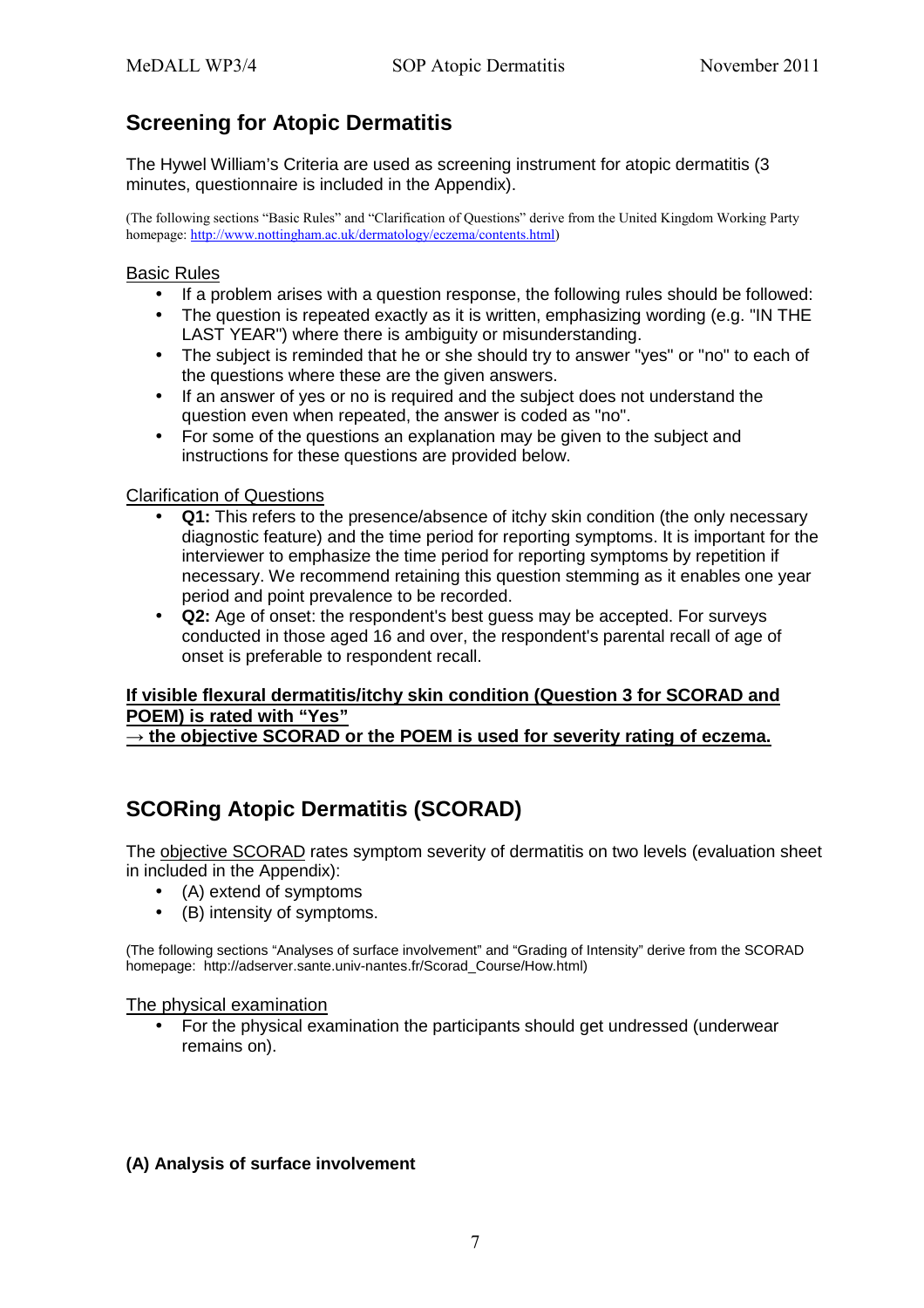# **Screening for Atopic Dermatitis**

The Hywel William's Criteria are used as screening instrument for atopic dermatitis (3 minutes, questionnaire is included in the Appendix).

(The following sections "Basic Rules" and "Clarification of Questions" derive from the United Kingdom Working Party homepage: http://www.nottingham.ac.uk/dermatology/eczema/contents.html)

#### Basic Rules

- If a problem arises with a question response, the following rules should be followed:
- The question is repeated exactly as it is written, emphasizing wording (e.g. "IN THE LAST YEAR") where there is ambiguity or misunderstanding.
- The subject is reminded that he or she should try to answer "yes" or "no" to each of the questions where these are the given answers.
- If an answer of yes or no is required and the subject does not understand the question even when repeated, the answer is coded as "no".
- For some of the questions an explanation may be given to the subject and instructions for these questions are provided below.

#### Clarification of Questions

- **Q1:** This refers to the presence/absence of itchy skin condition (the only necessary diagnostic feature) and the time period for reporting symptoms. It is important for the interviewer to emphasize the time period for reporting symptoms by repetition if necessary. We recommend retaining this question stemming as it enables one year period and point prevalence to be recorded.
- **Q2:** Age of onset: the respondent's best guess may be accepted. For surveys conducted in those aged 16 and over, the respondent's parental recall of age of onset is preferable to respondent recall.

#### **If visible flexural dermatitis/itchy skin condition (Question 3 for SCORAD and POEM) is rated with "Yes"**

→ the objective SCORAD or the POEM is used for severity rating of eczema.

# **SCORing Atopic Dermatitis (SCORAD)**

The objective SCORAD rates symptom severity of dermatitis on two levels (evaluation sheet in included in the Appendix):

- (A) extend of symptoms
- (B) intensity of symptoms.

(The following sections "Analyses of surface involvement" and "Grading of Intensity" derive from the SCORAD homepage: http://adserver.sante.univ-nantes.fr/Scorad\_Course/How.html)

#### The physical examination

• For the physical examination the participants should get undressed (underwear remains on).

#### **(A) Analysis of surface involvement**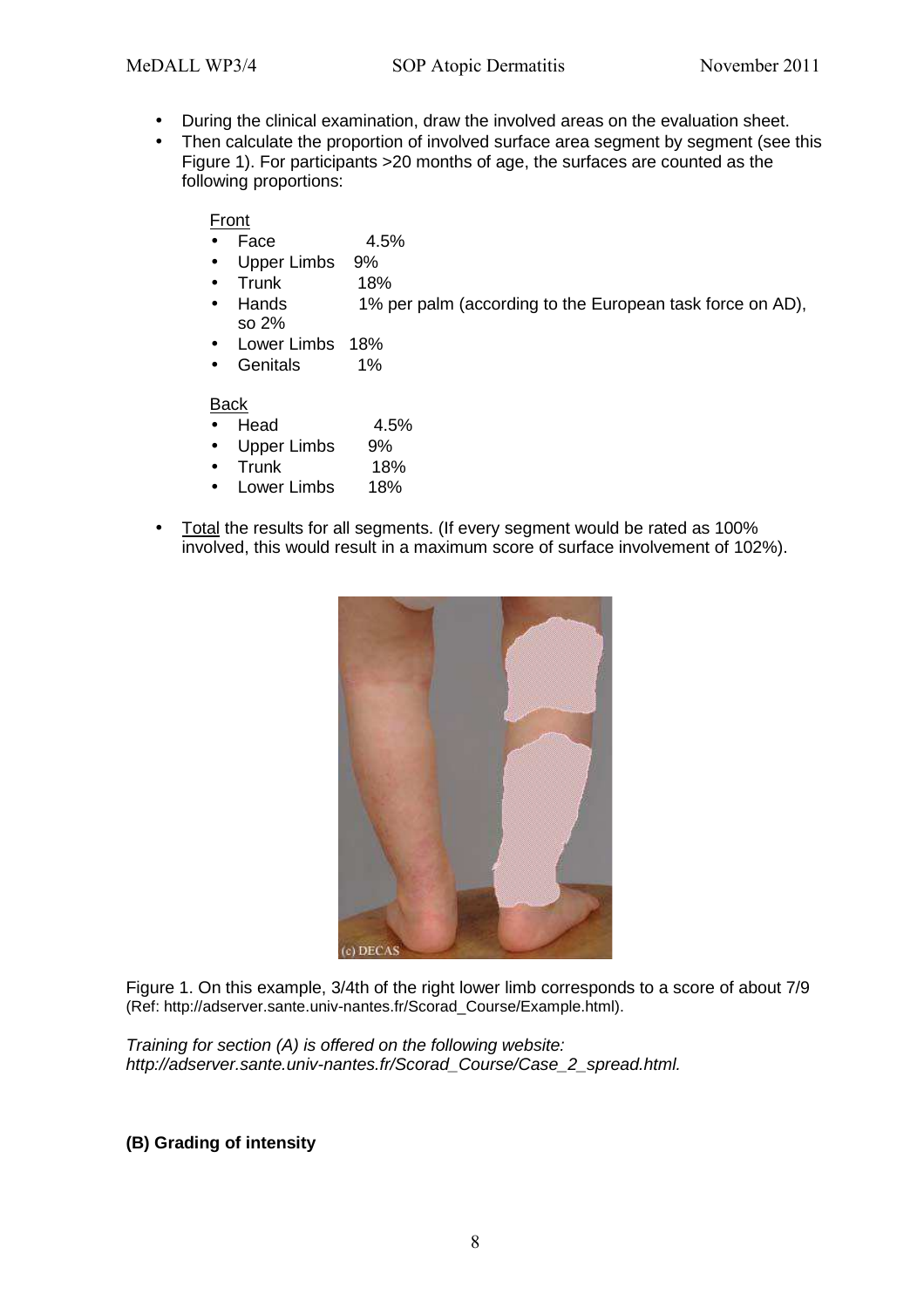- During the clinical examination, draw the involved areas on the evaluation sheet.
- Then calculate the proportion of involved surface area segment by segment (see this Figure 1). For participants >20 months of age, the surfaces are counted as the following proportions:

#### Front

- Face  $4.5\%$
- Upper Limbs 9%
- Trunk 18%
- Hands 1% per palm (according to the European task force on AD), so 2%
- Lower Limbs 18%
- Genitals 1%

#### Back

- Head 4.5%
- Upper Limbs 9%
- Trunk 18%
- Lower Limbs 18%
- Total the results for all segments. (If every segment would be rated as 100% involved, this would result in a maximum score of surface involvement of 102%).



Figure 1. On this example, 3/4th of the right lower limb corresponds to a score of about 7/9 (Ref: http://adserver.sante.univ-nantes.fr/Scorad\_Course/Example.html).

Training for section (A) is offered on the following website: http://adserver.sante.univ-nantes.fr/Scorad\_Course/Case\_2\_spread.html.

**(B) Grading of intensity**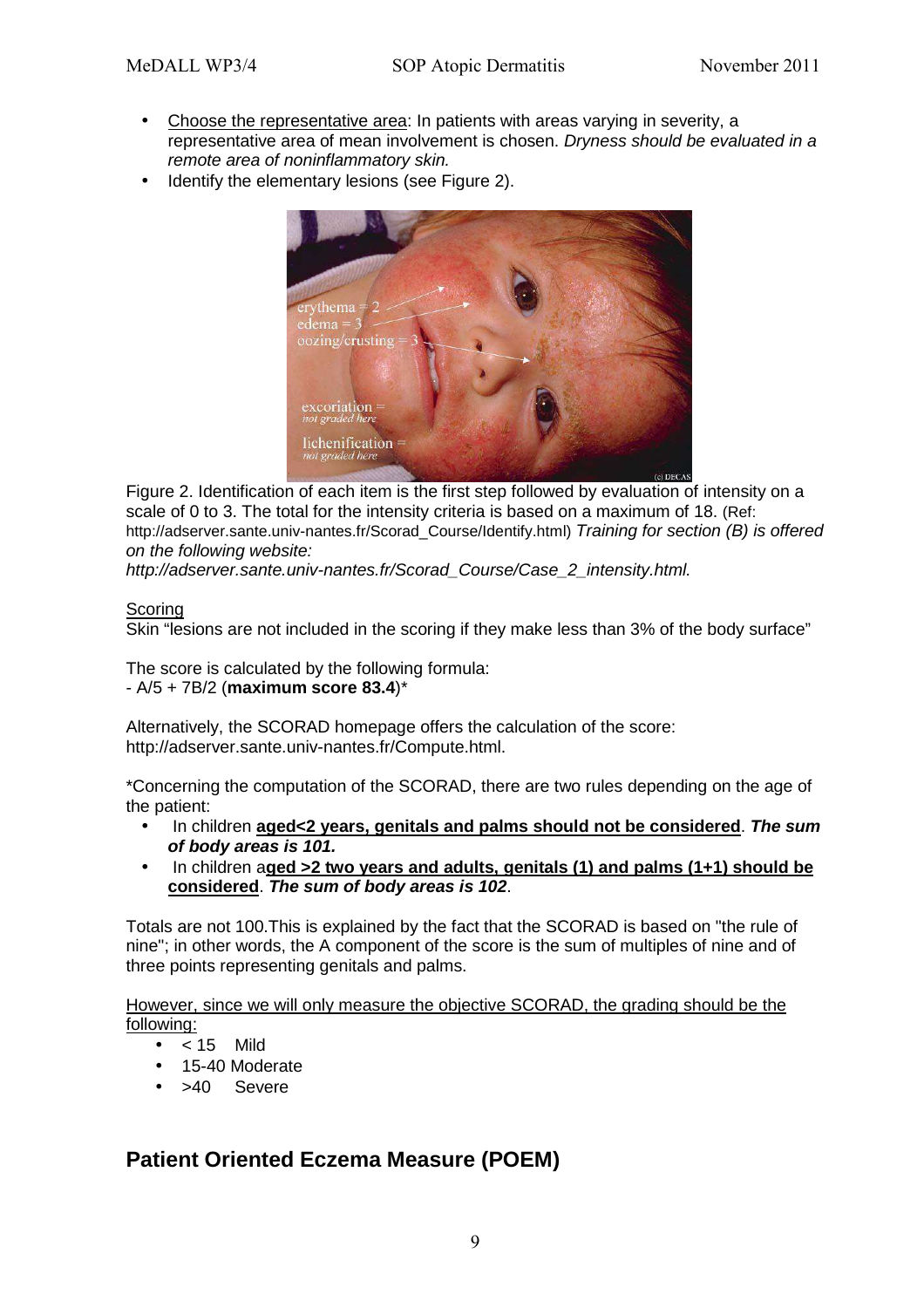- Choose the representative area: In patients with areas varying in severity, a representative area of mean involvement is chosen. Dryness should be evaluated in a remote area of noninflammatory skin.
- Identify the elementary lesions (see Figure 2).



Figure 2. Identification of each item is the first step followed by evaluation of intensity on a scale of 0 to 3. The total for the intensity criteria is based on a maximum of 18. (Ref: http://adserver.sante.univ-nantes.fr/Scorad\_Course/Identify.html) Training for section (B) is offered on the following website:

http://adserver.sante.univ-nantes.fr/Scorad Course/Case 2 intensity.html.

#### Scoring

Skin "lesions are not included in the scoring if they make less than 3% of the body surface"

The score is calculated by the following formula: - A/5 + 7B/2 (**maximum score 83.4**)\*

Alternatively, the SCORAD homepage offers the calculation of the score: http://adserver.sante.univ-nantes.fr/Compute.html.

\*Concerning the computation of the SCORAD, there are two rules depending on the age of the patient:

- In children **aged<2 years, genitals and palms should not be considered**. **The sum of body areas is 101.**
- In children a**ged >2 two years and adults, genitals (1) and palms (1+1) should be considered**. **The sum of body areas is 102**.

Totals are not 100.This is explained by the fact that the SCORAD is based on "the rule of nine"; in other words, the A component of the score is the sum of multiples of nine and of three points representing genitals and palms.

However, since we will only measure the objective SCORAD, the grading should be the following:

- $< 15$  Mild
- 15-40 Moderate
- >40 Severe

### **Patient Oriented Eczema Measure (POEM)**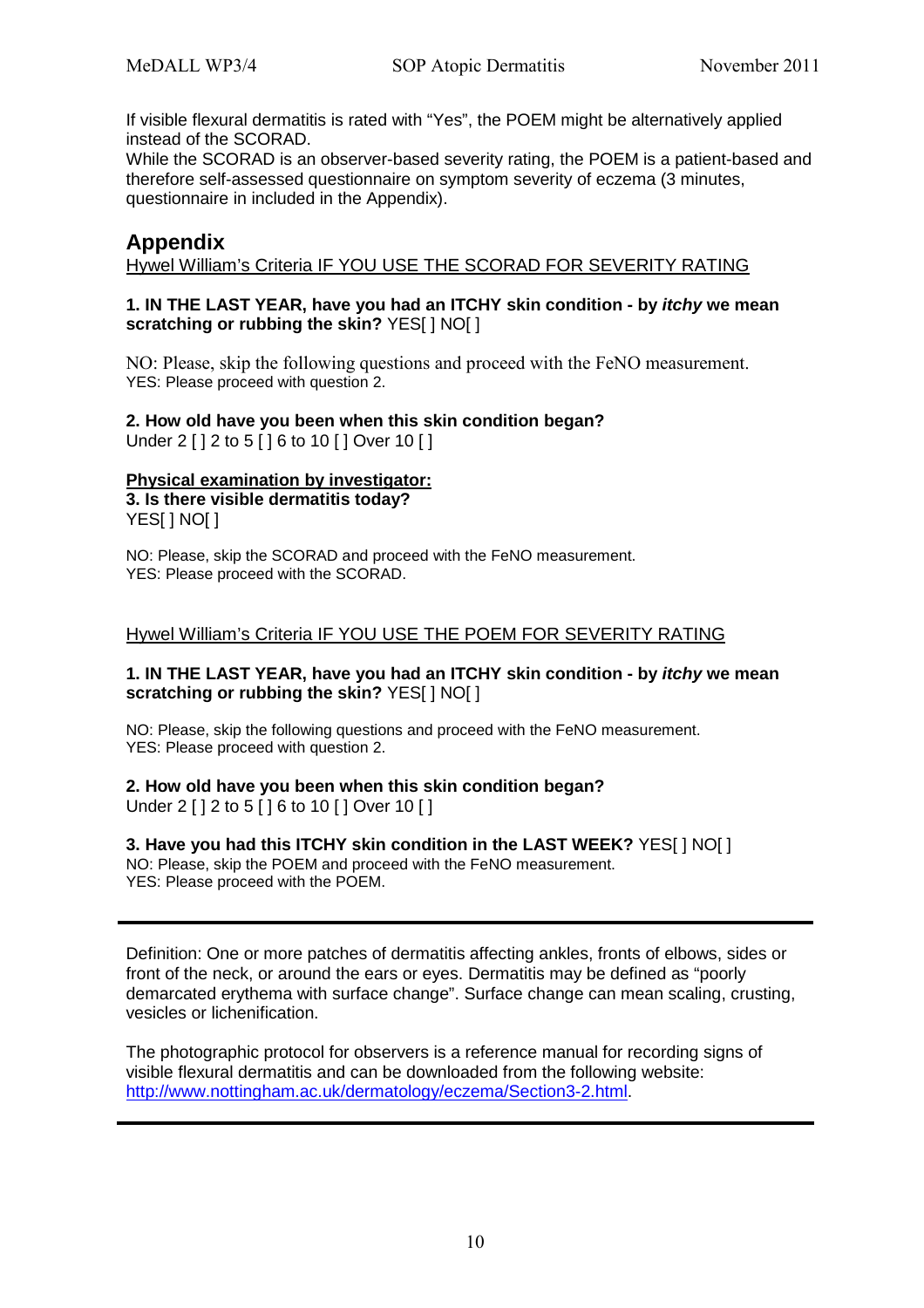If visible flexural dermatitis is rated with "Yes", the POEM might be alternatively applied instead of the SCORAD.

While the SCORAD is an observer-based severity rating, the POEM is a patient-based and therefore self-assessed questionnaire on symptom severity of eczema (3 minutes, questionnaire in included in the Appendix).

### **Appendix**

Hywel William's Criteria IF YOU USE THE SCORAD FOR SEVERITY RATING

#### **1. IN THE LAST YEAR, have you had an ITCHY skin condition - by itchy we mean scratching or rubbing the skin?** YES[ ] NO[ ]

NO: Please, skip the following questions and proceed with the FeNO measurement. YES: Please proceed with question 2.

**2. How old have you been when this skin condition began?**  Under 2 [ ] 2 to 5 [ ] 6 to 10 [ ] Over 10 [ ]

#### **Physical examination by investigator: 3. Is there visible dermatitis today?**

YESI 1 NO[ 1

NO: Please, skip the SCORAD and proceed with the FeNO measurement. YES: Please proceed with the SCORAD.

#### Hywel William's Criteria IF YOU USE THE POEM FOR SEVERITY RATING

#### **1. IN THE LAST YEAR, have you had an ITCHY skin condition - by itchy we mean scratching or rubbing the skin?** YES[ ] NO[ ]

NO: Please, skip the following questions and proceed with the FeNO measurement. YES: Please proceed with question 2.

#### **2. How old have you been when this skin condition began?**

Under 2 [ ] 2 to 5 [ ] 6 to 10 [ ] Over 10 [ ]

### **3. Have you had this ITCHY skin condition in the LAST WEEK?** YES[ ] NO[ ]

NO: Please, skip the POEM and proceed with the FeNO measurement. YES: Please proceed with the POEM.

Definition: One or more patches of dermatitis affecting ankles, fronts of elbows, sides or front of the neck, or around the ears or eyes. Dermatitis may be defined as "poorly demarcated erythema with surface change". Surface change can mean scaling, crusting, vesicles or lichenification.

The photographic protocol for observers is a reference manual for recording signs of visible flexural dermatitis and can be downloaded from the following website: http://www.nottingham.ac.uk/dermatology/eczema/Section3-2.html.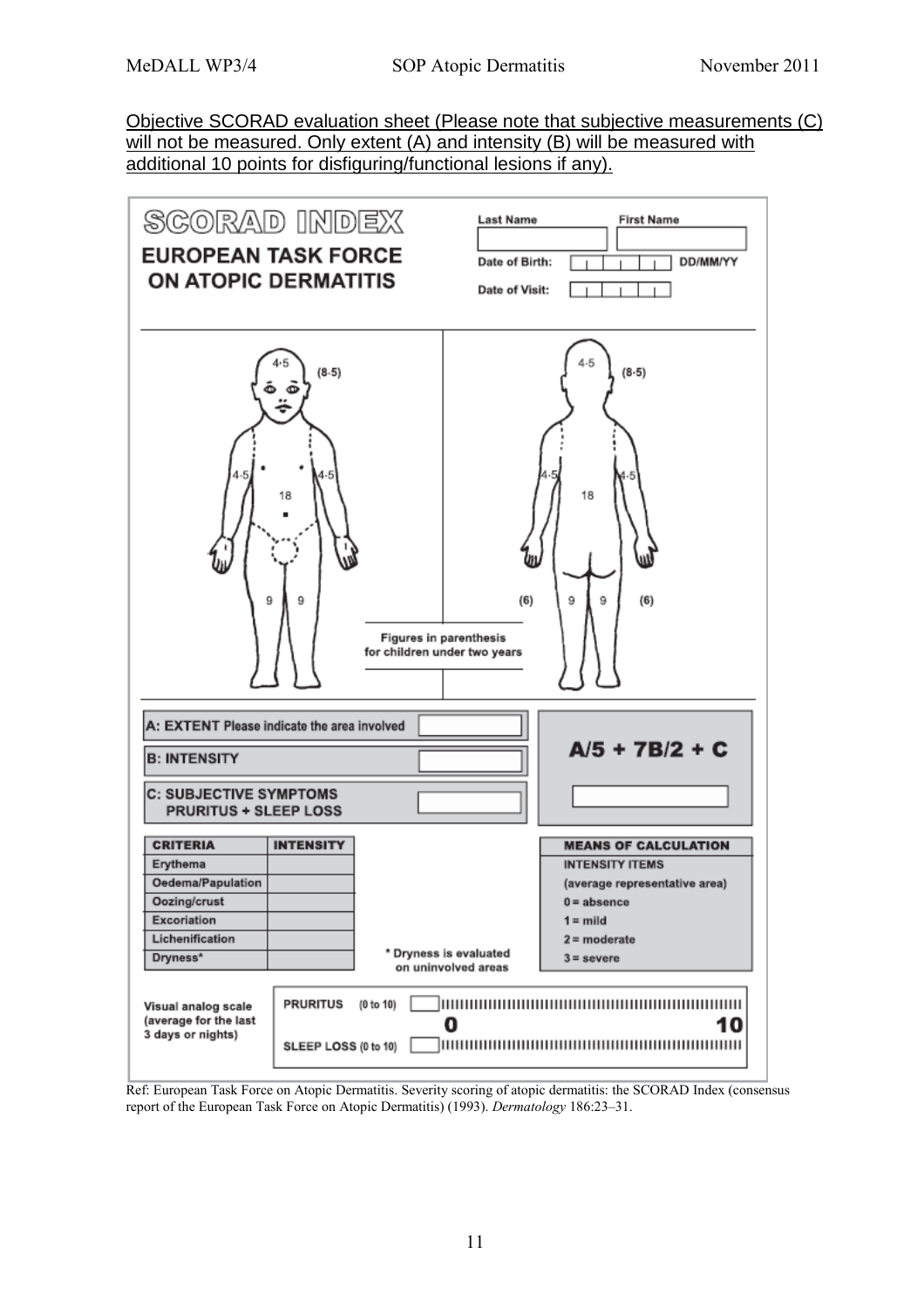Objective SCORAD evaluation sheet (Please note that subjective measurements (C) will not be measured. Only extent (A) and intensity (B) will be measured with additional 10 points for disfiguring/functional lesions if any).



Ref: European Task Force on Atopic Dermatitis. Severity scoring of atopic dermatitis: the SCORAD Index (consensus report of the European Task Force on Atopic Dermatitis) (1993). *Dermatology* 186:23–31.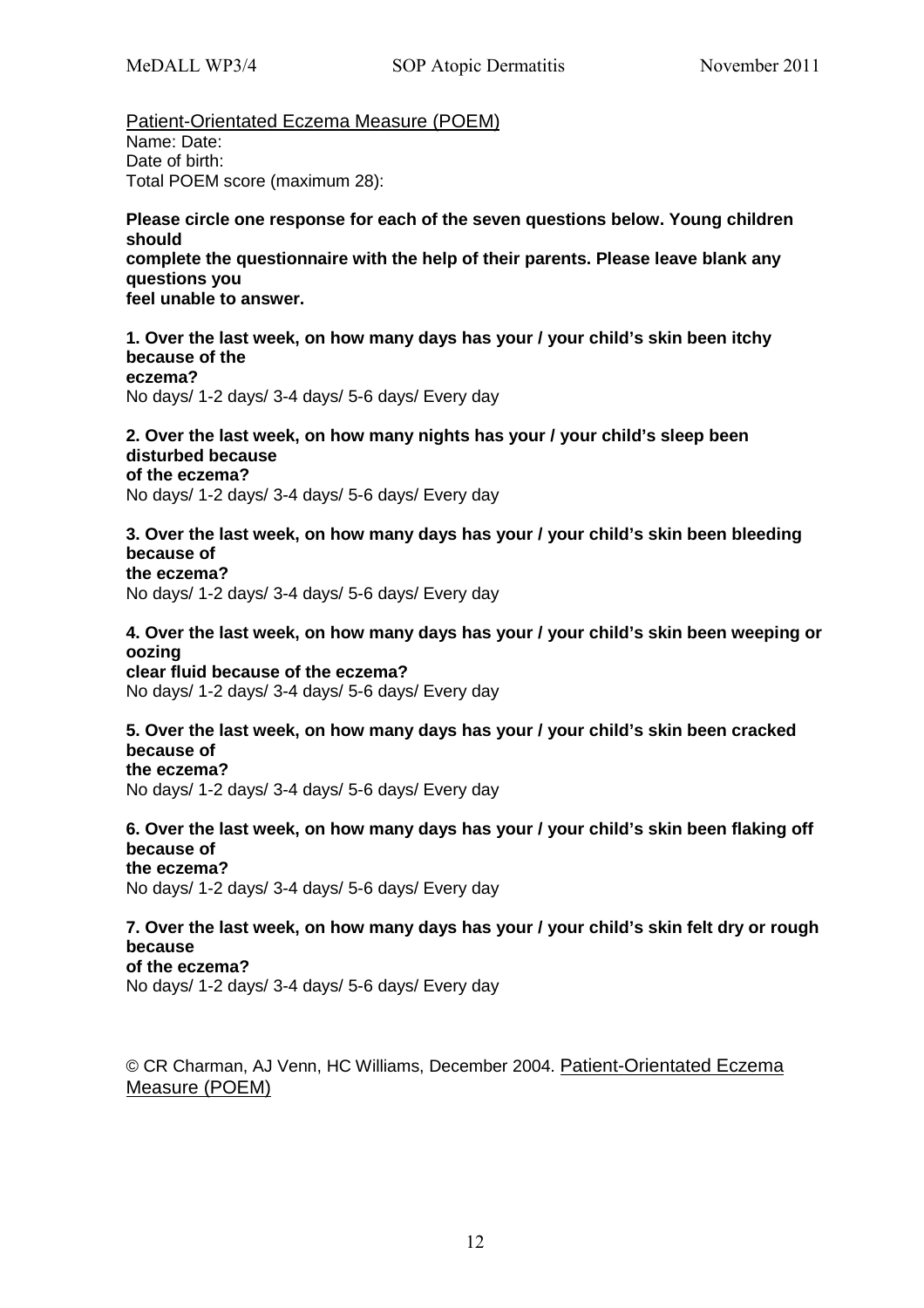Patient-Orientated Eczema Measure (POEM) Name: Date: Date of birth:

Total POEM score (maximum 28):

#### **Please circle one response for each of the seven questions below. Young children should complete the questionnaire with the help of their parents. Please leave blank any questions you feel unable to answer.**

**1. Over the last week, on how many days has your / your child's skin been itchy because of the eczema?**  No days/ 1-2 days/ 3-4 days/ 5-6 days/ Every day

**2. Over the last week, on how many nights has your / your child's sleep been disturbed because of the eczema?**  No days/ 1-2 days/ 3-4 days/ 5-6 days/ Every day

#### **3. Over the last week, on how many days has your / your child's skin been bleeding because of the eczema?**

No days/ 1-2 days/ 3-4 days/ 5-6 days/ Every day

## **4. Over the last week, on how many days has your / your child's skin been weeping or oozing**

**clear fluid because of the eczema?**  No days/ 1-2 days/ 3-4 days/ 5-6 days/ Every day

#### **5. Over the last week, on how many days has your / your child's skin been cracked because of the eczema?**

No days/ 1-2 days/ 3-4 days/ 5-6 days/ Every day

**6. Over the last week, on how many days has your / your child's skin been flaking off because of the eczema?** 

No days/ 1-2 days/ 3-4 days/ 5-6 days/ Every day

**7. Over the last week, on how many days has your / your child's skin felt dry or rough because of the eczema?**  No days/ 1-2 days/ 3-4 days/ 5-6 days/ Every day

© CR Charman, AJ Venn, HC Williams, December 2004. Patient-Orientated Eczema Measure (POEM)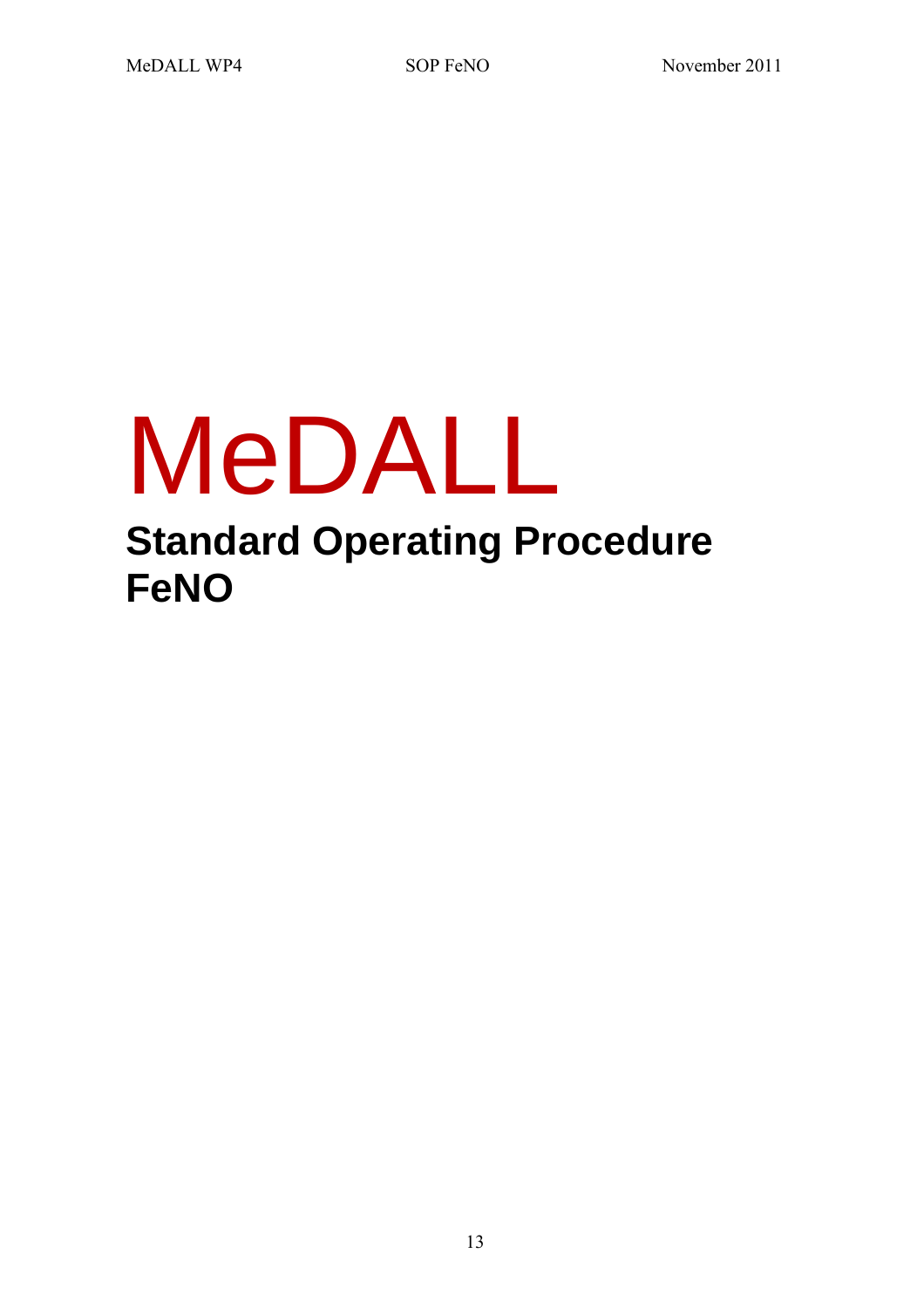# MeDALL **Standard Operating Procedure FeNO**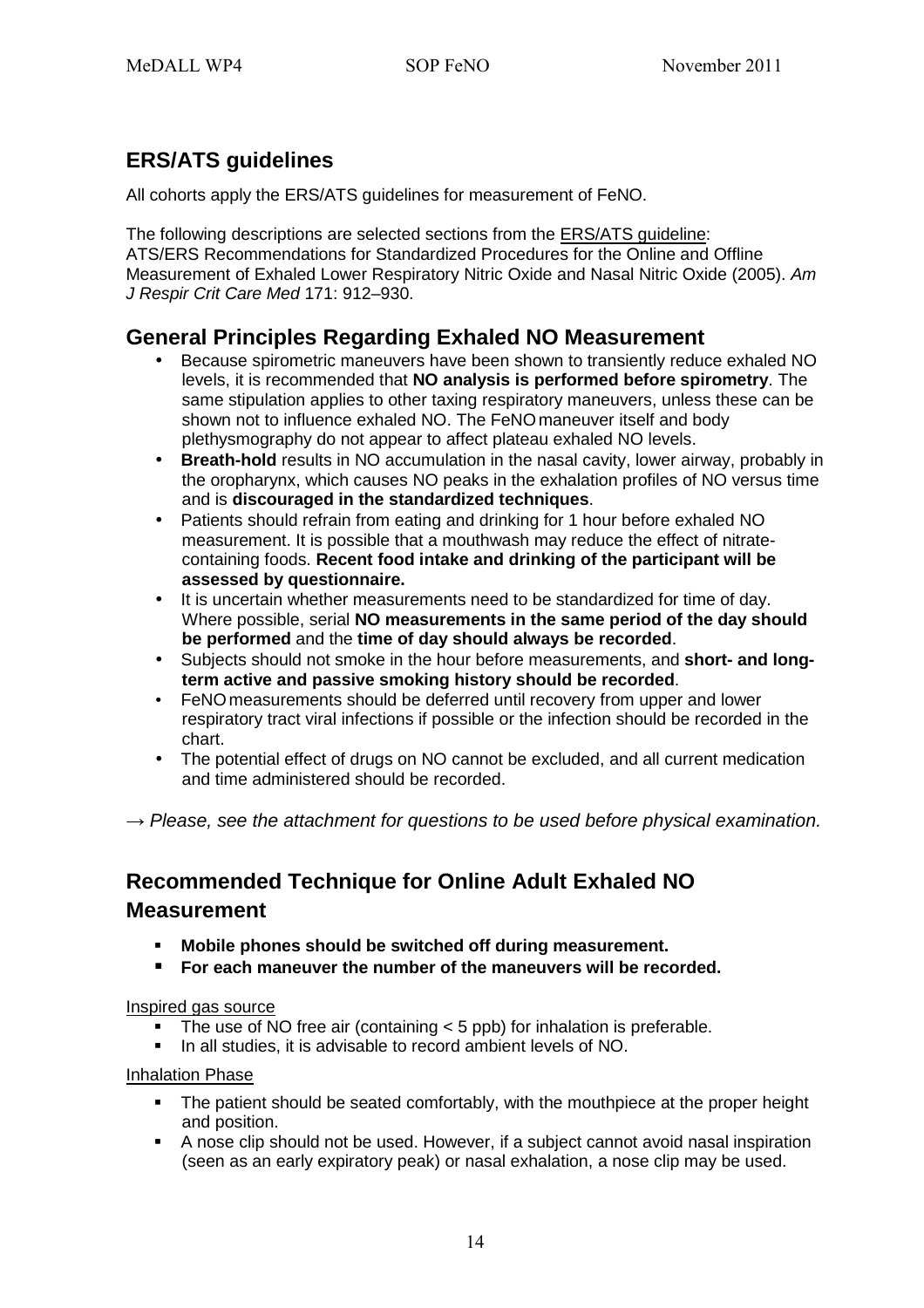# **ERS/ATS guidelines**

All cohorts apply the ERS/ATS guidelines for measurement of FeNO.

The following descriptions are selected sections from the ERS/ATS guideline: ATS/ERS Recommendations for Standardized Procedures for the Online and Offline Measurement of Exhaled Lower Respiratory Nitric Oxide and Nasal Nitric Oxide (2005). Am J Respir Crit Care Med 171: 912–930.

# **General Principles Regarding Exhaled NO Measurement**

- Because spirometric maneuvers have been shown to transiently reduce exhaled NO levels, it is recommended that **NO analysis is performed before spirometry**. The same stipulation applies to other taxing respiratory maneuvers, unless these can be shown not to influence exhaled NO. The FeNOmaneuver itself and body plethysmography do not appear to affect plateau exhaled NO levels.
- **Breath-hold** results in NO accumulation in the nasal cavity, lower airway, probably in the oropharynx, which causes NO peaks in the exhalation profiles of NO versus time and is **discouraged in the standardized techniques**.
- Patients should refrain from eating and drinking for 1 hour before exhaled NO measurement. It is possible that a mouthwash may reduce the effect of nitratecontaining foods. **Recent food intake and drinking of the participant will be assessed by questionnaire.**
- It is uncertain whether measurements need to be standardized for time of day. Where possible, serial **NO measurements in the same period of the day should be performed** and the **time of day should always be recorded**.
- Subjects should not smoke in the hour before measurements, and **short- and longterm active and passive smoking history should be recorded**.
- FeNO measurements should be deferred until recovery from upper and lower respiratory tract viral infections if possible or the infection should be recorded in the chart.
- The potential effect of drugs on NO cannot be excluded, and all current medication and time administered should be recorded.

*→* Please, see the attachment for questions to be used before physical examination.

# **Recommended Technique for Online Adult Exhaled NO Measurement**

- **Mobile phones should be switched off during measurement.**
- **For each maneuver the number of the maneuvers will be recorded.**

#### Inspired gas source

- The use of NO free air (containing < 5 ppb) for inhalation is preferable.
- In all studies, it is advisable to record ambient levels of NO.

#### Inhalation Phase

- The patient should be seated comfortably, with the mouthpiece at the proper height and position.
- A nose clip should not be used. However, if a subject cannot avoid nasal inspiration (seen as an early expiratory peak) or nasal exhalation, a nose clip may be used.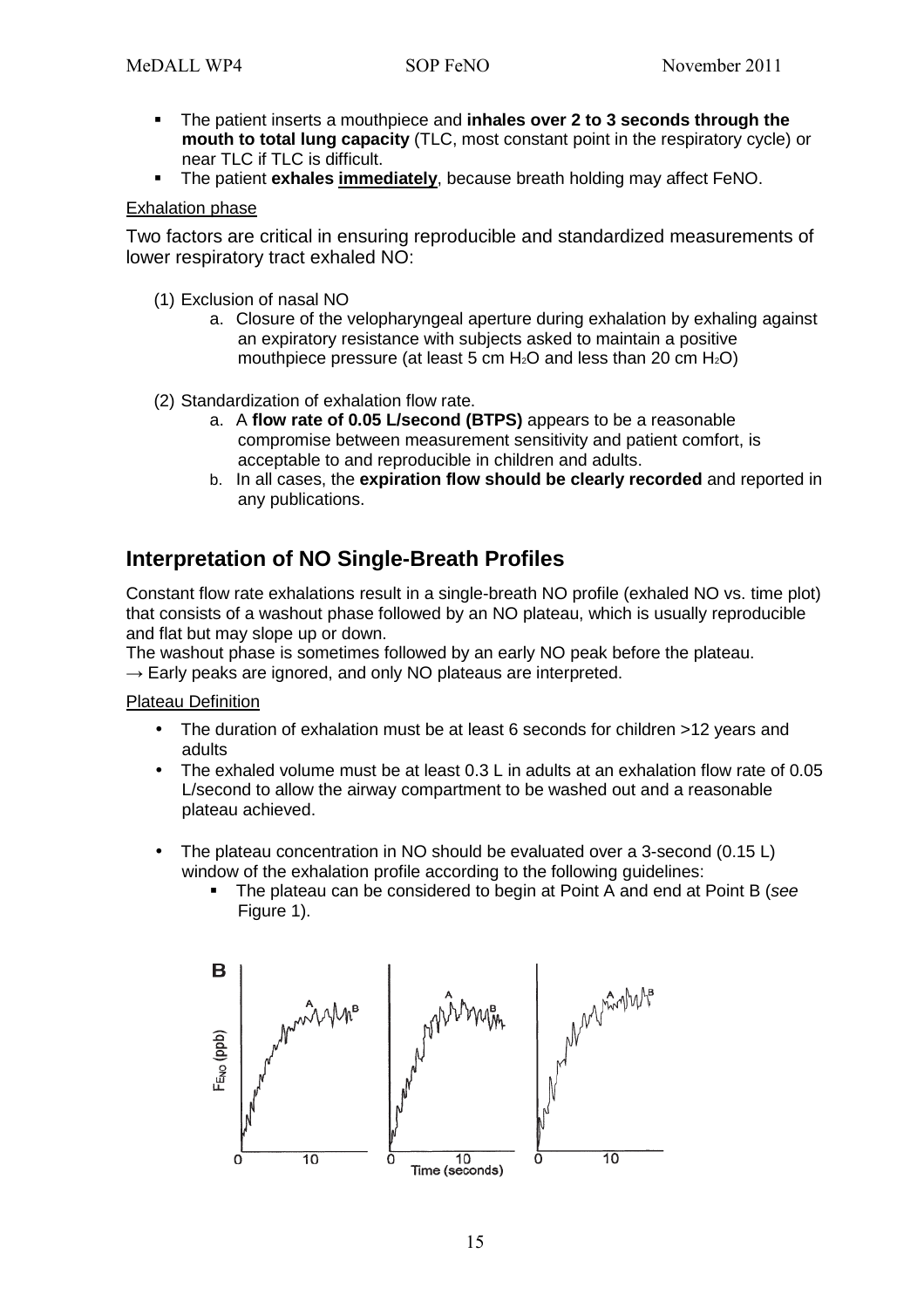- The patient inserts a mouthpiece and **inhales over 2 to 3 seconds through the mouth to total lung capacity** (TLC, most constant point in the respiratory cycle) or near TLC if TLC is difficult.
- The patient **exhales immediately**, because breath holding may affect FeNO.

#### Exhalation phase

Two factors are critical in ensuring reproducible and standardized measurements of lower respiratory tract exhaled NO:

- (1) Exclusion of nasal NO
	- a. Closure of the velopharyngeal aperture during exhalation by exhaling against an expiratory resistance with subjects asked to maintain a positive mouthpiece pressure (at least 5 cm  $H_2O$  and less than 20 cm  $H_2O$ )
- (2) Standardization of exhalation flow rate.
	- a. A **flow rate of 0.05 L/second (BTPS)** appears to be a reasonable compromise between measurement sensitivity and patient comfort, is acceptable to and reproducible in children and adults.
	- b. In all cases, the **expiration flow should be clearly recorded** and reported in any publications.

## **Interpretation of NO Single-Breath Profiles**

Constant flow rate exhalations result in a single-breath NO profile (exhaled NO vs. time plot) that consists of a washout phase followed by an NO plateau, which is usually reproducible and flat but may slope up or down.

The washout phase is sometimes followed by an early NO peak before the plateau.

 $\rightarrow$  Early peaks are ignored, and only NO plateaus are interpreted.

Plateau Definition

- The duration of exhalation must be at least 6 seconds for children >12 years and adults
- The exhaled volume must be at least 0.3 L in adults at an exhalation flow rate of 0.05 L/second to allow the airway compartment to be washed out and a reasonable plateau achieved.
- The plateau concentration in NO should be evaluated over a 3-second (0.15 L) window of the exhalation profile according to the following quidelines:
	- The plateau can be considered to begin at Point A and end at Point B (see Figure 1).

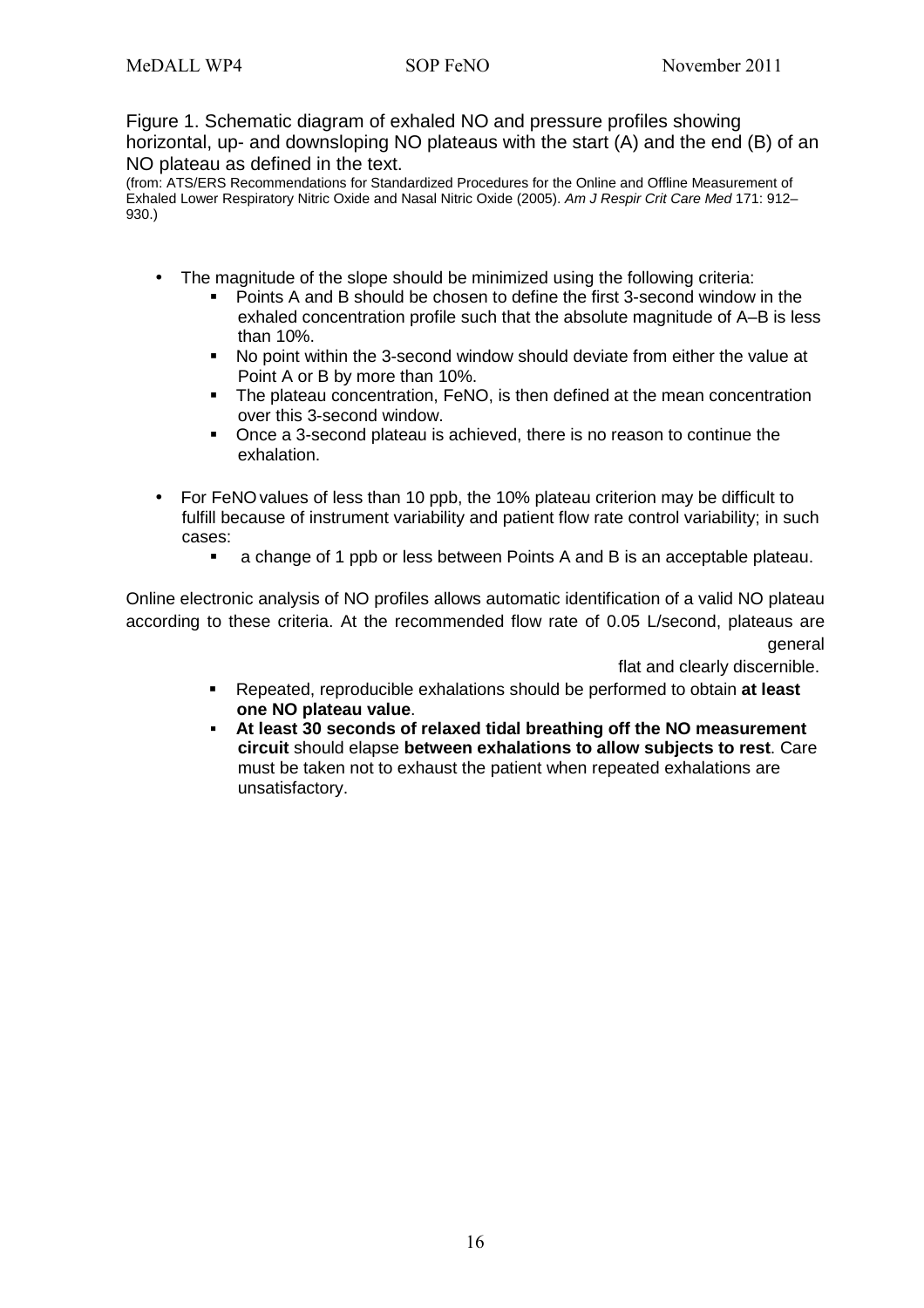Figure 1. Schematic diagram of exhaled NO and pressure profiles showing horizontal, up- and downsloping NO plateaus with the start (A) and the end (B) of an NO plateau as defined in the text.

(from: ATS/ERS Recommendations for Standardized Procedures for the Online and Offline Measurement of Exhaled Lower Respiratory Nitric Oxide and Nasal Nitric Oxide (2005). Am J Respir Crit Care Med 171: 912– 930.)

- The magnitude of the slope should be minimized using the following criteria:
	- **Points A and B should be chosen to define the first 3-second window in the** exhaled concentration profile such that the absolute magnitude of A–B is less than 10%.
	- No point within the 3-second window should deviate from either the value at Point A or B by more than 10%.
	- The plateau concentration, FeNO, is then defined at the mean concentration over this 3-second window.
	- Once a 3-second plateau is achieved, there is no reason to continue the exhalation.
- For FeNOvalues of less than 10 ppb, the 10% plateau criterion may be difficult to fulfill because of instrument variability and patient flow rate control variability; in such cases:
	- a change of 1 ppb or less between Points A and B is an acceptable plateau.

Online electronic analysis of NO profiles allows automatic identification of a valid NO plateau according to these criteria. At the recommended flow rate of 0.05 L/second, plateaus are general

flat and clearly discernible.

- Repeated, reproducible exhalations should be performed to obtain **at least one NO plateau value**.
- **At least 30 seconds of relaxed tidal breathing off the NO measurement circuit** should elapse **between exhalations to allow subjects to rest**. Care must be taken not to exhaust the patient when repeated exhalations are unsatisfactory.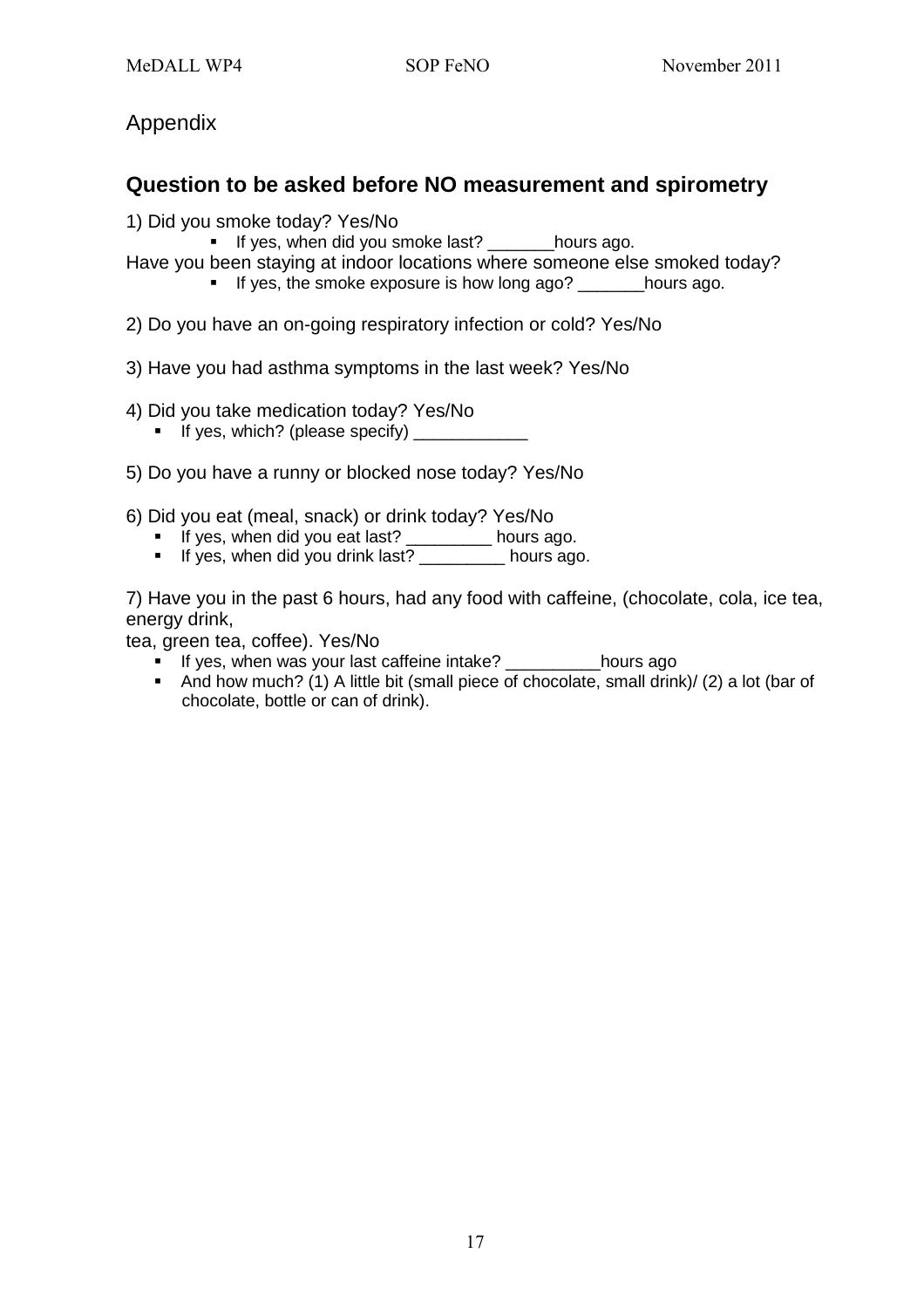## Appendix

## **Question to be asked before NO measurement and spirometry**

- 1) Did you smoke today? Yes/No
	- If yes, when did you smoke last? \_\_\_\_\_\_\_hours ago.
- Have you been staying at indoor locations where someone else smoked today?
	- If yes, the smoke exposure is how long ago? hours ago.
- 2) Do you have an on-going respiratory infection or cold? Yes/No
- 3) Have you had asthma symptoms in the last week? Yes/No
- 4) Did you take medication today? Yes/No
	- If yes, which? (please specify)
- 5) Do you have a runny or blocked nose today? Yes/No
- 6) Did you eat (meal, snack) or drink today? Yes/No
	- If yes, when did you eat last? \_\_\_\_\_\_\_\_\_ hours ago.
	- If yes, when did you drink last? hours ago.

7) Have you in the past 6 hours, had any food with caffeine, (chocolate, cola, ice tea, energy drink,

tea, green tea, coffee). Yes/No

- If yes, when was your last caffeine intake? \_\_\_\_\_\_\_\_\_\_\_ hours ago
- And how much? (1) A little bit (small piece of chocolate, small drink)/ (2) a lot (bar of chocolate, bottle or can of drink).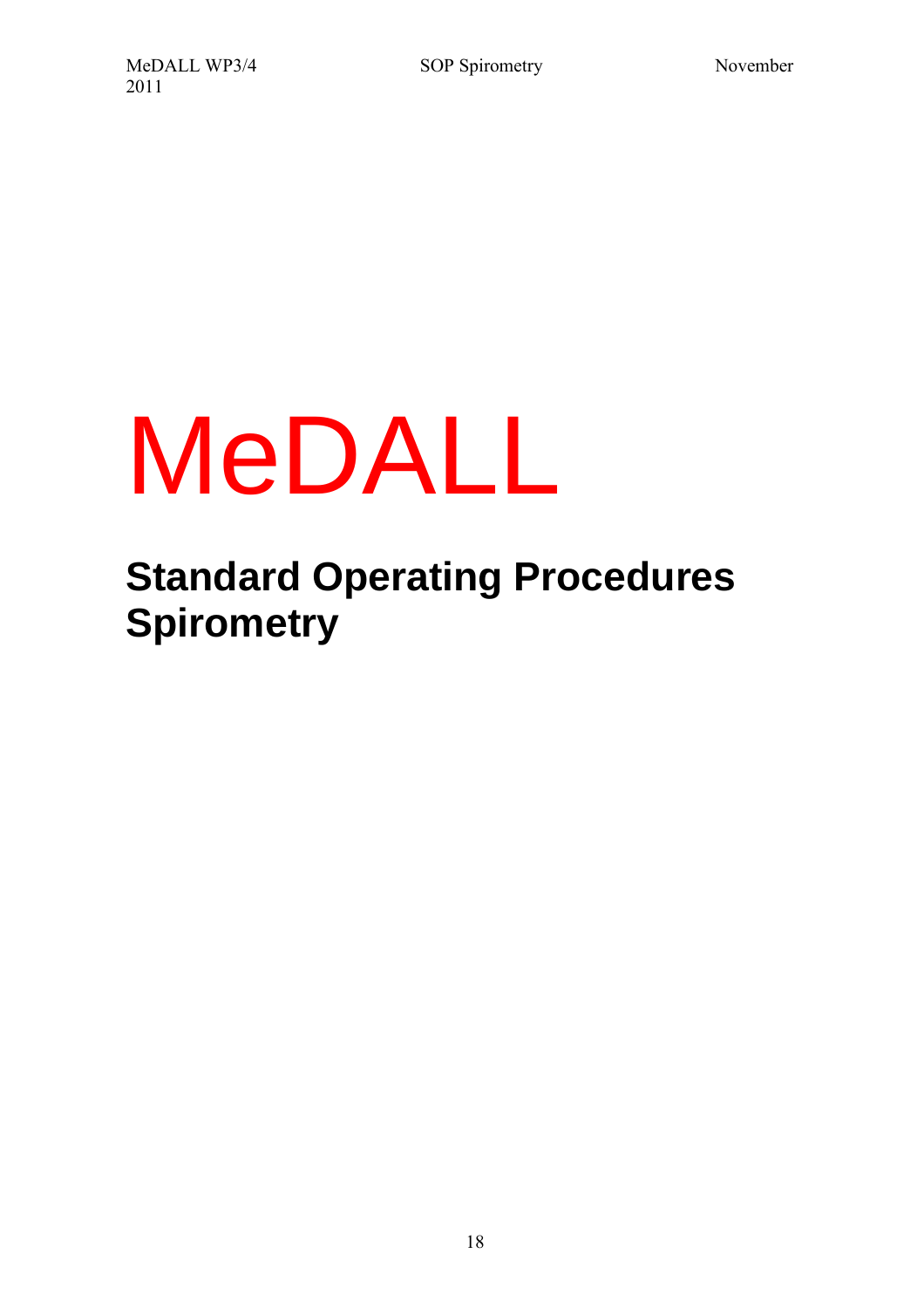# MeDALL

# **Standard Operating Procedures Spirometry**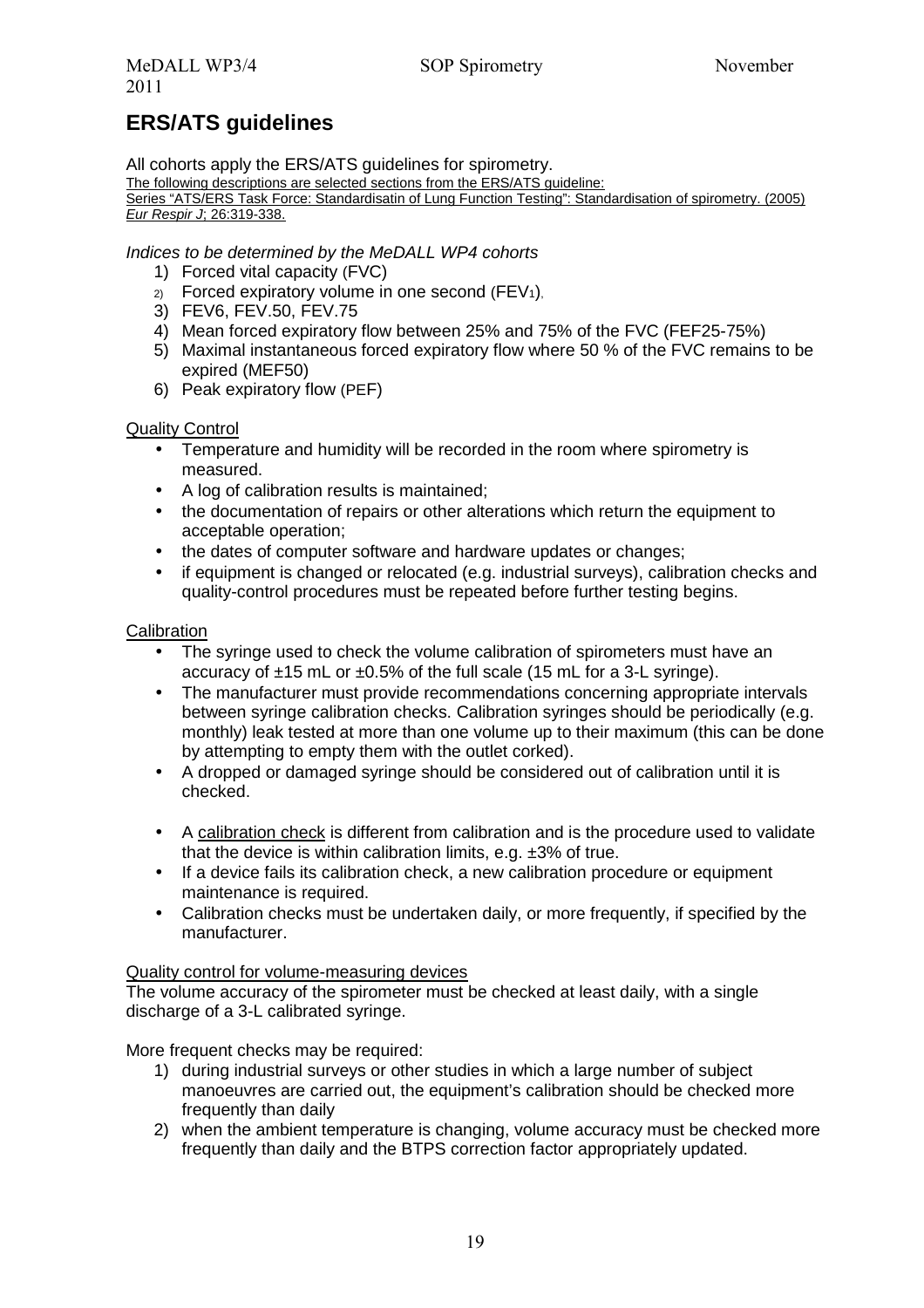# **ERS/ATS guidelines**

All cohorts apply the ERS/ATS quidelines for spirometry.

The following descriptions are selected sections from the ERS/ATS guideline:

Series "ATS/ERS Task Force: Standardisatin of Lung Function Testing": Standardisation of spirometry. (2005) Eur Respir J; 26:319-338.

#### Indices to be determined by the MeDALL WP4 cohorts

- 1) Forced vital capacity (FVC)
- $2)$  Forced expiratory volume in one second (FEV<sub>1</sub>).
- 3) FEV6, FEV.50, FEV.75
- 4) Mean forced expiratory flow between 25% and 75% of the FVC (FEF25-75%)
- 5) Maximal instantaneous forced expiratory flow where 50 % of the FVC remains to be expired (MEF50)
- 6) Peak expiratory flow (PEF)

#### Quality Control

- Temperature and humidity will be recorded in the room where spirometry is measured.
- A log of calibration results is maintained;
- the documentation of repairs or other alterations which return the equipment to acceptable operation;
- the dates of computer software and hardware updates or changes;
- if equipment is changed or relocated (e.g. industrial surveys), calibration checks and quality-control procedures must be repeated before further testing begins.

#### **Calibration**

- The syringe used to check the volume calibration of spirometers must have an accuracy of ±15 mL or ±0.5% of the full scale (15 mL for a 3-L syringe).
- The manufacturer must provide recommendations concerning appropriate intervals between syringe calibration checks. Calibration syringes should be periodically (e.g. monthly) leak tested at more than one volume up to their maximum (this can be done by attempting to empty them with the outlet corked).
- A dropped or damaged syringe should be considered out of calibration until it is checked.
- A calibration check is different from calibration and is the procedure used to validate that the device is within calibration limits, e.g. ±3% of true.
- If a device fails its calibration check, a new calibration procedure or equipment maintenance is required.
- Calibration checks must be undertaken daily, or more frequently, if specified by the manufacturer.

#### Quality control for volume-measuring devices

The volume accuracy of the spirometer must be checked at least daily, with a single discharge of a 3-L calibrated syringe.

More frequent checks may be required:

- 1) during industrial surveys or other studies in which a large number of subject manoeuvres are carried out, the equipment's calibration should be checked more frequently than daily
- 2) when the ambient temperature is changing, volume accuracy must be checked more frequently than daily and the BTPS correction factor appropriately updated.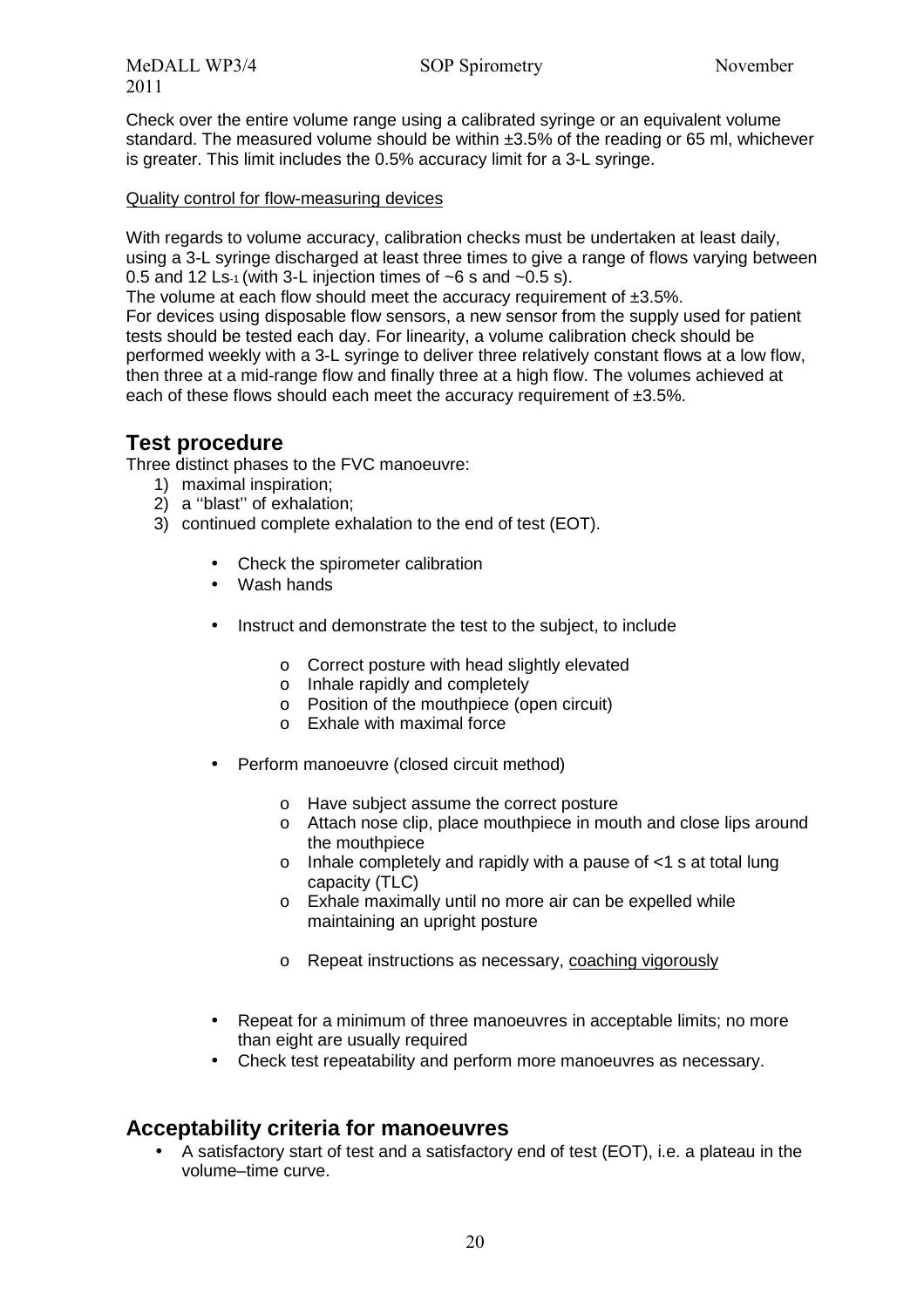MeDALL WP3/4 SOP Spirometry November 2011

Check over the entire volume range using a calibrated syringe or an equivalent volume standard. The measured volume should be within ±3.5% of the reading or 65 ml, whichever is greater. This limit includes the 0.5% accuracy limit for a 3-L syringe.

#### Quality control for flow-measuring devices

With regards to volume accuracy, calibration checks must be undertaken at least daily, using a 3-L syringe discharged at least three times to give a range of flows varying between 0.5 and 12 Ls-1 (with 3-L injection times of  $\sim$ 6 s and  $\sim$ 0.5 s).

The volume at each flow should meet the accuracy requirement of  $\pm 3.5\%$ .

For devices using disposable flow sensors, a new sensor from the supply used for patient tests should be tested each day. For linearity, a volume calibration check should be performed weekly with a 3-L syringe to deliver three relatively constant flows at a low flow, then three at a mid-range flow and finally three at a high flow. The volumes achieved at each of these flows should each meet the accuracy requirement of ±3.5%.

#### **Test procedure**

Three distinct phases to the FVC manoeuvre:

- 1) maximal inspiration;
- 2) a ''blast'' of exhalation;
- 3) continued complete exhalation to the end of test (EOT).
	- Check the spirometer calibration
	- Wash hands
	- Instruct and demonstrate the test to the subject, to include
		- o Correct posture with head slightly elevated
		- o Inhale rapidly and completely
		- o Position of the mouthpiece (open circuit)
		- o Exhale with maximal force
	- Perform manoeuvre (closed circuit method)
		- o Have subject assume the correct posture
		- o Attach nose clip, place mouthpiece in mouth and close lips around the mouthpiece
		- o Inhale completely and rapidly with a pause of <1 s at total lung capacity (TLC)
		- o Exhale maximally until no more air can be expelled while maintaining an upright posture
		- o Repeat instructions as necessary, coaching vigorously
	- Repeat for a minimum of three manoeuvres in acceptable limits; no more than eight are usually required
	- Check test repeatability and perform more manoeuvres as necessary.

#### **Acceptability criteria for manoeuvres**

• A satisfactory start of test and a satisfactory end of test (EOT), i.e. a plateau in the volume–time curve.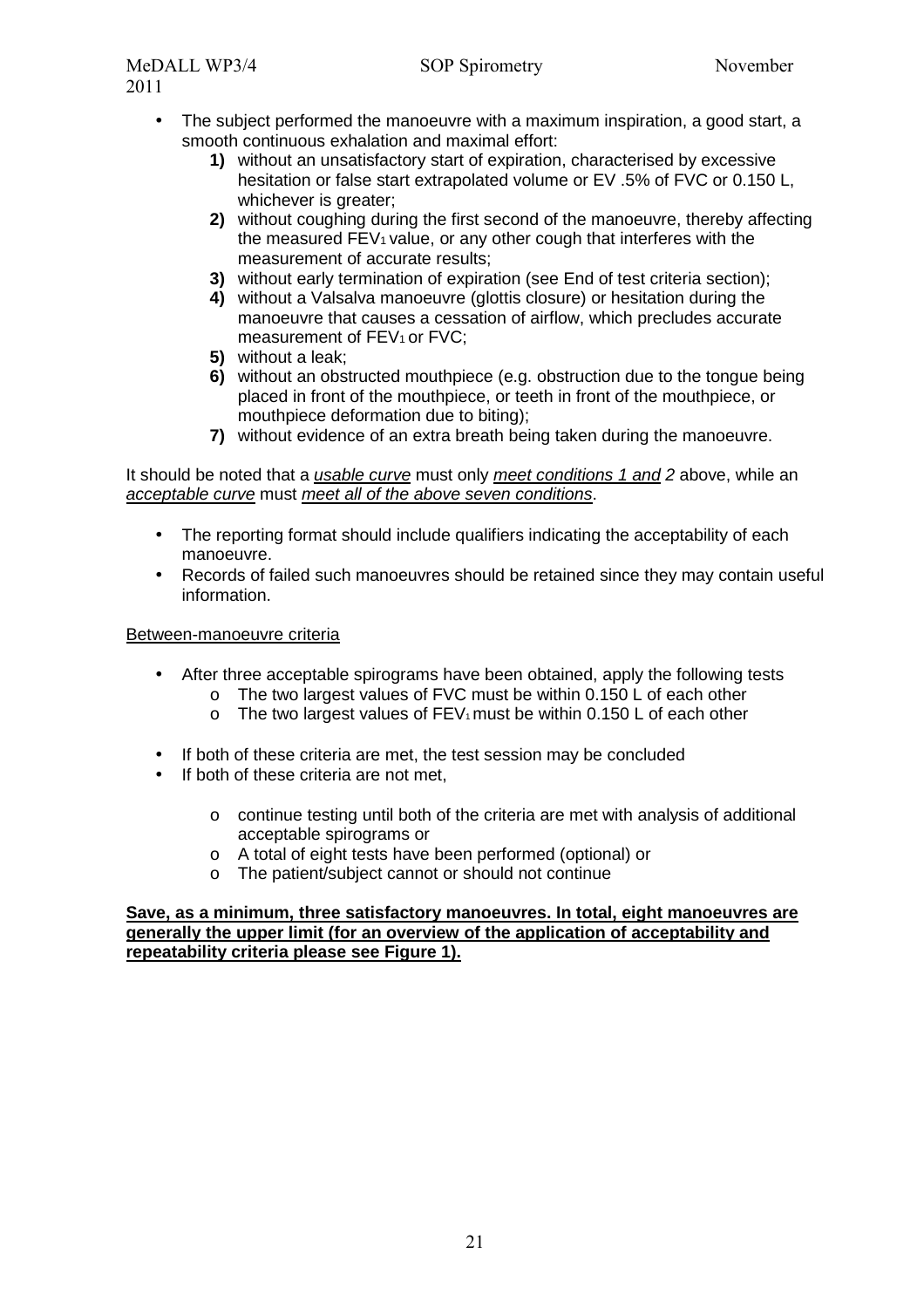- The subject performed the manoeuvre with a maximum inspiration, a good start, a smooth continuous exhalation and maximal effort:
	- **1)** without an unsatisfactory start of expiration, characterised by excessive hesitation or false start extrapolated volume or EV .5% of FVC or 0.150 L, whichever is greater:
	- **2)** without coughing during the first second of the manoeuvre, thereby affecting the measured  $FEV<sub>1</sub>$  value, or any other cough that interferes with the measurement of accurate results;
	- **3)** without early termination of expiration (see End of test criteria section);
	- **4)** without a Valsalva manoeuvre (glottis closure) or hesitation during the manoeuvre that causes a cessation of airflow, which precludes accurate measurement of FEV<sub>1</sub> or FVC;
	- **5)** without a leak;
	- **6)** without an obstructed mouthpiece (e.g. obstruction due to the tongue being placed in front of the mouthpiece, or teeth in front of the mouthpiece, or mouthpiece deformation due to biting);
	- **7)** without evidence of an extra breath being taken during the manoeuvre.

It should be noted that a usable curve must only meet conditions 1 and 2 above, while an acceptable curve must meet all of the above seven conditions.

- The reporting format should include qualifiers indicating the acceptability of each manoeuvre.
- Records of failed such manoeuvres should be retained since they may contain useful information.

#### Between-manoeuvre criteria

- After three acceptable spirograms have been obtained, apply the following tests
	- o The two largest values of FVC must be within 0.150 L of each other
	- $\circ$  The two largest values of FEV<sub>1</sub> must be within 0.150 L of each other
- If both of these criteria are met, the test session may be concluded
- If both of these criteria are not met.
	- $\circ$  continue testing until both of the criteria are met with analysis of additional acceptable spirograms or
	- o A total of eight tests have been performed (optional) or
	- o The patient/subject cannot or should not continue

#### **Save, as a minimum, three satisfactory manoeuvres. In total, eight manoeuvres are generally the upper limit (for an overview of the application of acceptability and repeatability criteria please see Figure 1).**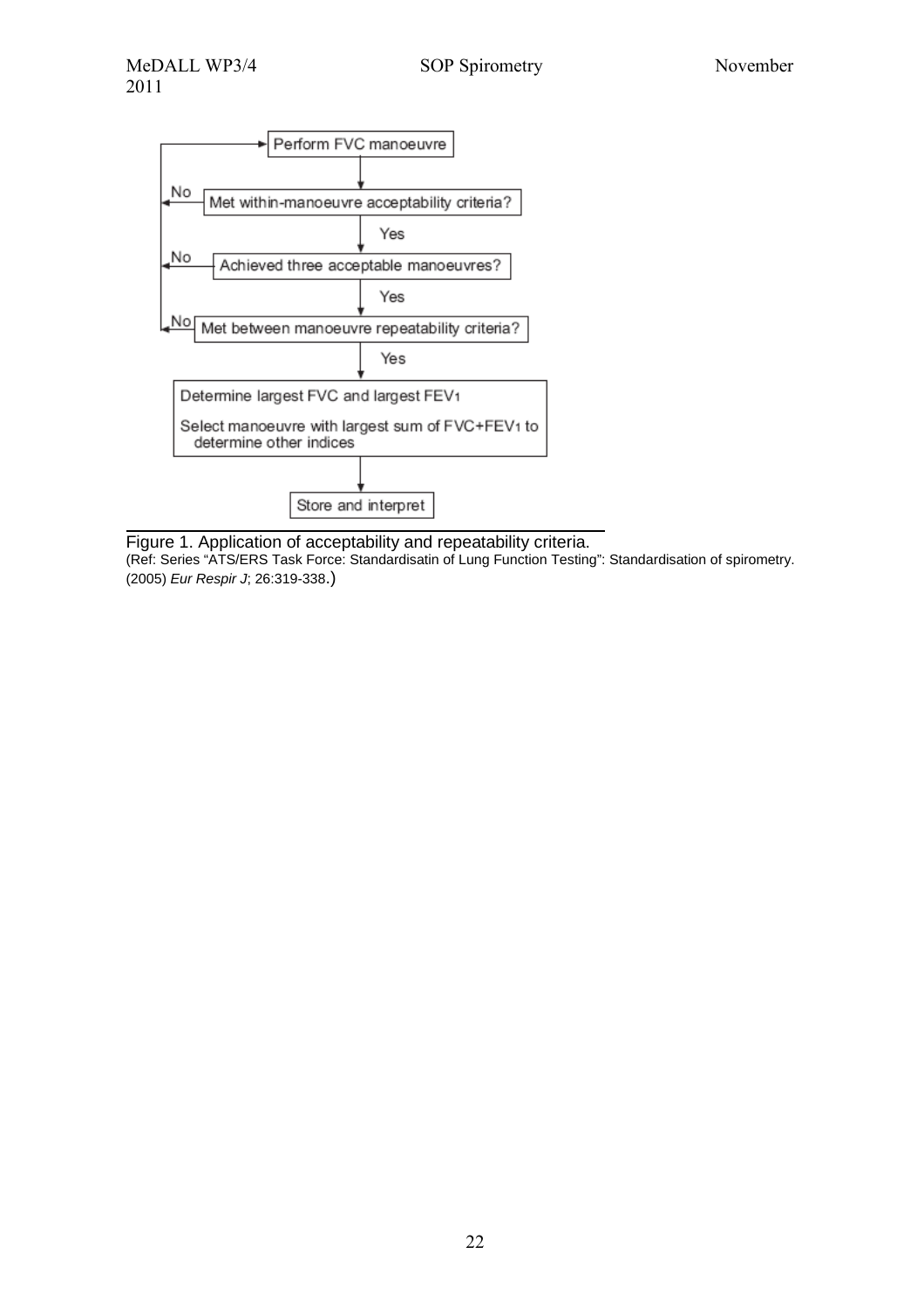

Figure 1. Application of acceptability and repeatability criteria. (Ref: Series "ATS/ERS Task Force: Standardisatin of Lung Function Testing": Standardisation of spirometry. (2005) Eur Respir J; 26:319-338.)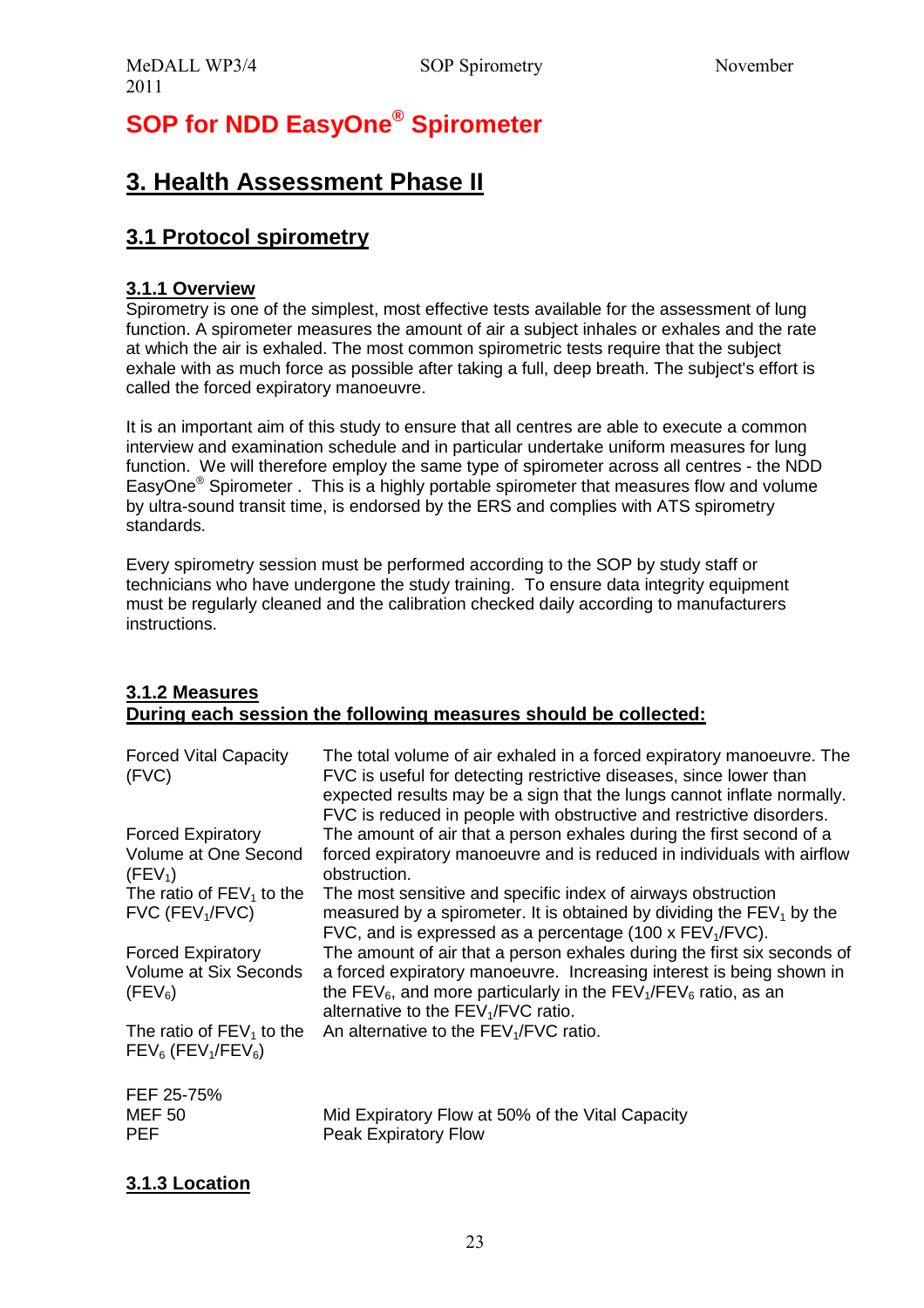# **SOP for NDD EasyOne® Spirometer**

# **3. Health Assessment Phase II**

# **3.1 Protocol spirometry**

#### **3.1.1 Overview**

Spirometry is one of the simplest, most effective tests available for the assessment of lung function. A spirometer measures the amount of air a subject inhales or exhales and the rate at which the air is exhaled. The most common spirometric tests require that the subject exhale with as much force as possible after taking a full, deep breath. The subject's effort is called the forced expiratory manoeuvre.

It is an important aim of this study to ensure that all centres are able to execute a common interview and examination schedule and in particular undertake uniform measures for lung function. We will therefore employ the same type of spirometer across all centres - the NDD EasyOne<sup>®</sup> Spirometer . This is a highly portable spirometer that measures flow and volume by ultra-sound transit time, is endorsed by the ERS and complies with ATS spirometry standards.

Every spirometry session must be performed according to the SOP by study staff or technicians who have undergone the study training. To ensure data integrity equipment must be regularly cleaned and the calibration checked daily according to manufacturers instructions.

#### **3.1.2 Measures During each session the following measures should be collected:**

| <b>Forced Vital Capacity</b><br>(FVC)                                        | The total volume of air exhaled in a forced expiratory manoeuvre. The<br>FVC is useful for detecting restrictive diseases, since lower than<br>expected results may be a sign that the lungs cannot inflate normally.<br>FVC is reduced in people with obstructive and restrictive disorders.             |
|------------------------------------------------------------------------------|-----------------------------------------------------------------------------------------------------------------------------------------------------------------------------------------------------------------------------------------------------------------------------------------------------------|
| <b>Forced Expiratory</b>                                                     | The amount of air that a person exhales during the first second of a                                                                                                                                                                                                                                      |
| Volume at One Second<br>(FEV <sub>1</sub> )                                  | forced expiratory manoeuvre and is reduced in individuals with airflow<br>obstruction.                                                                                                                                                                                                                    |
| The ratio of $FEV_1$ to the<br>$FVC$ ( $FEV1/FVC$ )                          | The most sensitive and specific index of airways obstruction<br>measured by a spirometer. It is obtained by dividing the $FEV1$ by the<br>FVC, and is expressed as a percentage (100 x FEV <sub>1</sub> /FVC).                                                                                            |
| <b>Forced Expiratory</b><br>Volume at Six Seconds<br>(FEV <sub>6</sub> )     | The amount of air that a person exhales during the first six seconds of<br>a forced expiratory manoeuvre. Increasing interest is being shown in<br>the FEV <sub>6</sub> , and more particularly in the FEV <sub>1</sub> /FEV <sub>6</sub> ratio, as an<br>alternative to the FEV <sub>1</sub> /FVC ratio. |
| The ratio of $FEV_1$ to the<br>$FEV_6$ (FEV <sub>1</sub> /FEV <sub>6</sub> ) | An alternative to the FEV <sub>1</sub> /FVC ratio.                                                                                                                                                                                                                                                        |
| FEF 25-75%<br><b>MEF 50</b>                                                  | Mid Expiratory Flow at 50% of the Vital Capacity                                                                                                                                                                                                                                                          |
| <b>PEF</b>                                                                   | <b>Peak Expiratory Flow</b>                                                                                                                                                                                                                                                                               |

#### **3.1.3 Location**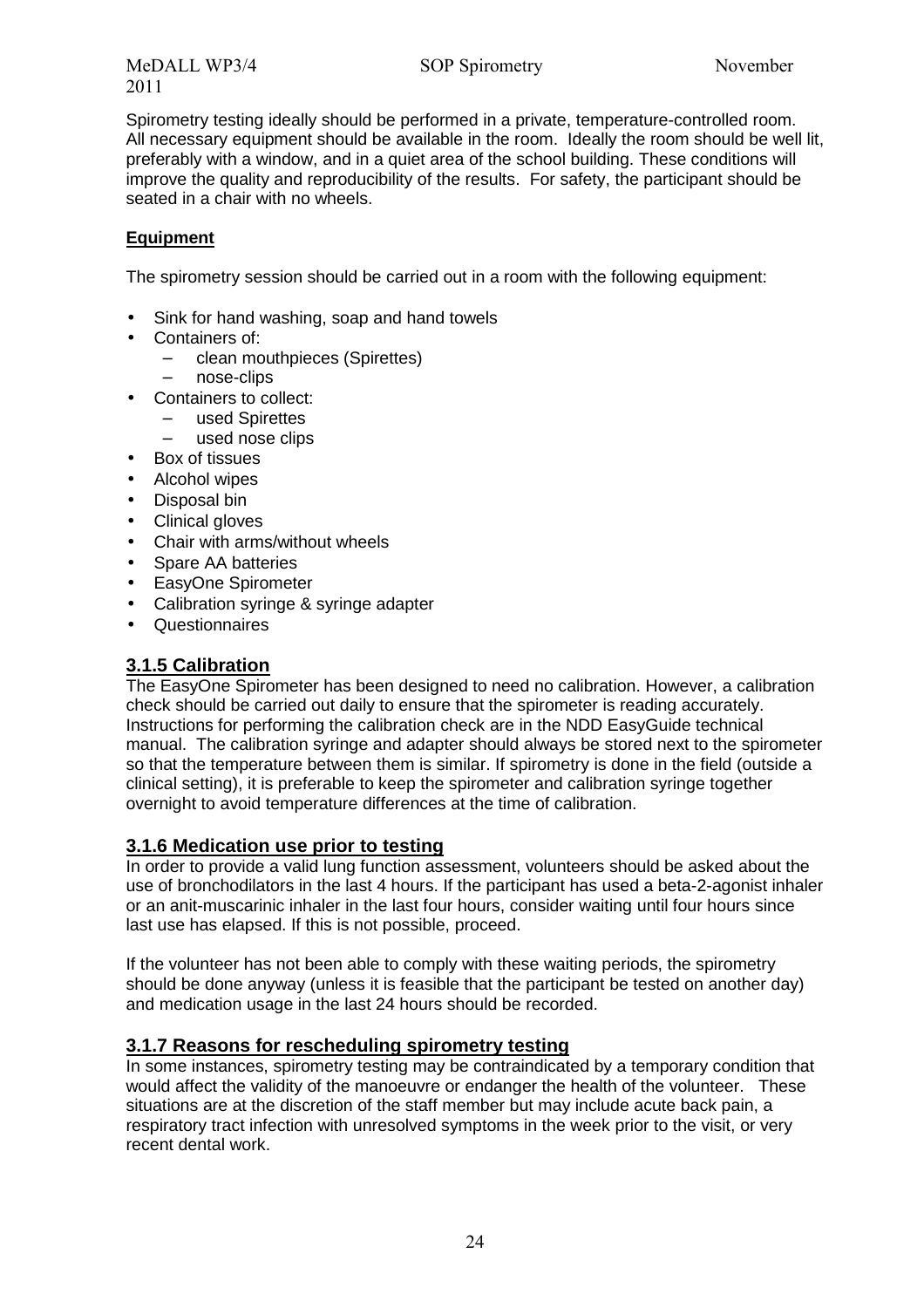MeDALL WP3/4 SOP Spirometry November 2011

Spirometry testing ideally should be performed in a private, temperature-controlled room. All necessary equipment should be available in the room. Ideally the room should be well lit, preferably with a window, and in a quiet area of the school building. These conditions will improve the quality and reproducibility of the results. For safety, the participant should be seated in a chair with no wheels.

#### **Equipment**

The spirometry session should be carried out in a room with the following equipment:

- Sink for hand washing, soap and hand towels
- Containers of:
	- − clean mouthpieces (Spirettes)
		- nose-clips
- Containers to collect:
	- used Spirettes
		- used nose clips
- Box of tissues
- Alcohol wipes
- Disposal bin
- Clinical gloves
- Chair with arms/without wheels
- Spare AA batteries
- EasyOne Spirometer
- Calibration syringe & syringe adapter
- Questionnaires

#### **3.1.5 Calibration**

The EasyOne Spirometer has been designed to need no calibration. However, a calibration check should be carried out daily to ensure that the spirometer is reading accurately. Instructions for performing the calibration check are in the NDD EasyGuide technical manual. The calibration syringe and adapter should always be stored next to the spirometer so that the temperature between them is similar. If spirometry is done in the field (outside a clinical setting), it is preferable to keep the spirometer and calibration syringe together overnight to avoid temperature differences at the time of calibration.

#### **3.1.6 Medication use prior to testing**

In order to provide a valid lung function assessment, volunteers should be asked about the use of bronchodilators in the last 4 hours. If the participant has used a beta-2-agonist inhaler or an anit-muscarinic inhaler in the last four hours, consider waiting until four hours since last use has elapsed. If this is not possible, proceed.

If the volunteer has not been able to comply with these waiting periods, the spirometry should be done anyway (unless it is feasible that the participant be tested on another day) and medication usage in the last 24 hours should be recorded.

#### **3.1.7 Reasons for rescheduling spirometry testing**

In some instances, spirometry testing may be contraindicated by a temporary condition that would affect the validity of the manoeuvre or endanger the health of the volunteer. These situations are at the discretion of the staff member but may include acute back pain, a respiratory tract infection with unresolved symptoms in the week prior to the visit, or very recent dental work.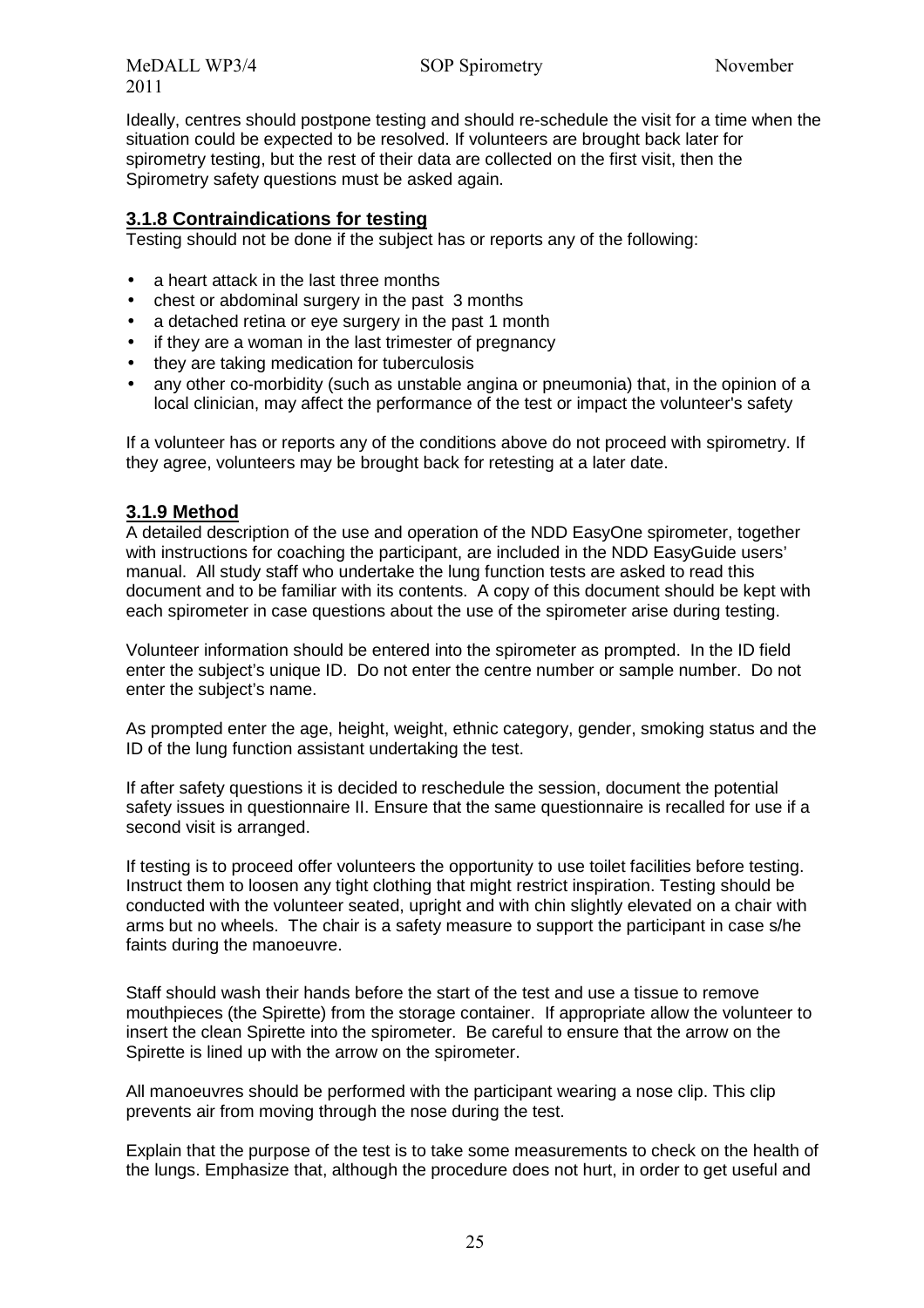Ideally, centres should postpone testing and should re-schedule the visit for a time when the situation could be expected to be resolved. If volunteers are brought back later for spirometry testing, but the rest of their data are collected on the first visit, then the Spirometry safety questions must be asked again.

#### **3.1.8 Contraindications for testing**

Testing should not be done if the subject has or reports any of the following:

- a heart attack in the last three months
- chest or abdominal surgery in the past 3 months
- a detached retina or eye surgery in the past 1 month
- if they are a woman in the last trimester of pregnancy
- they are taking medication for tuberculosis
- any other co-morbidity (such as unstable angina or pneumonia) that, in the opinion of a local clinician, may affect the performance of the test or impact the volunteer's safety

If a volunteer has or reports any of the conditions above do not proceed with spirometry. If they agree, volunteers may be brought back for retesting at a later date.

#### **3.1.9 Method**

A detailed description of the use and operation of the NDD EasyOne spirometer, together with instructions for coaching the participant, are included in the NDD EasyGuide users' manual. All study staff who undertake the lung function tests are asked to read this document and to be familiar with its contents. A copy of this document should be kept with each spirometer in case questions about the use of the spirometer arise during testing.

Volunteer information should be entered into the spirometer as prompted. In the ID field enter the subject's unique ID. Do not enter the centre number or sample number. Do not enter the subject's name.

As prompted enter the age, height, weight, ethnic category, gender, smoking status and the ID of the lung function assistant undertaking the test.

If after safety questions it is decided to reschedule the session, document the potential safety issues in questionnaire II. Ensure that the same questionnaire is recalled for use if a second visit is arranged.

If testing is to proceed offer volunteers the opportunity to use toilet facilities before testing. Instruct them to loosen any tight clothing that might restrict inspiration. Testing should be conducted with the volunteer seated, upright and with chin slightly elevated on a chair with arms but no wheels. The chair is a safety measure to support the participant in case s/he faints during the manoeuvre.

Staff should wash their hands before the start of the test and use a tissue to remove mouthpieces (the Spirette) from the storage container. If appropriate allow the volunteer to insert the clean Spirette into the spirometer. Be careful to ensure that the arrow on the Spirette is lined up with the arrow on the spirometer.

All manoeuvres should be performed with the participant wearing a nose clip. This clip prevents air from moving through the nose during the test.

Explain that the purpose of the test is to take some measurements to check on the health of the lungs. Emphasize that, although the procedure does not hurt, in order to get useful and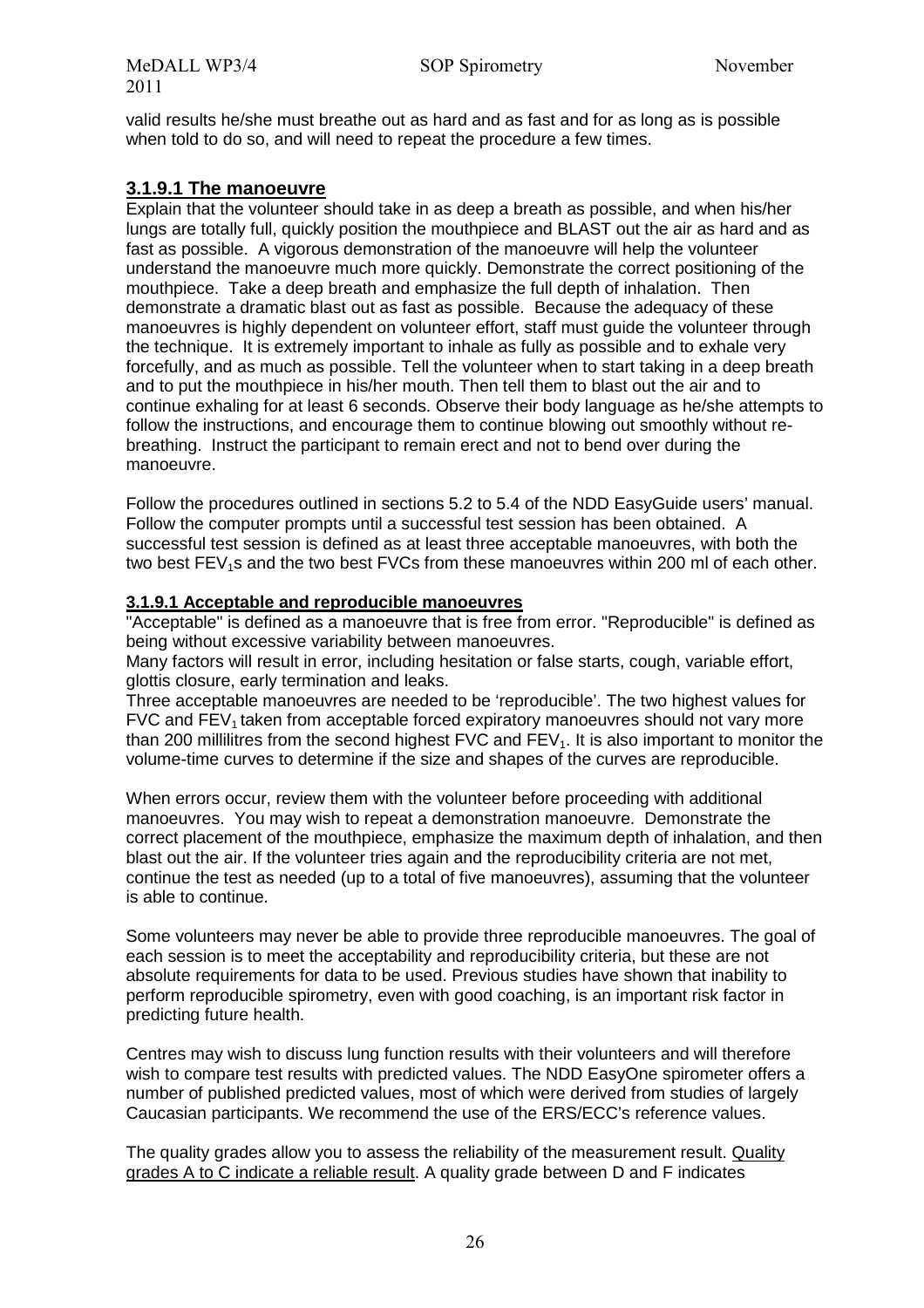valid results he/she must breathe out as hard and as fast and for as long as is possible when told to do so, and will need to repeat the procedure a few times.

#### **3.1.9.1 The manoeuvre**

Explain that the volunteer should take in as deep a breath as possible, and when his/her lungs are totally full, quickly position the mouthpiece and BLAST out the air as hard and as fast as possible. A vigorous demonstration of the manoeuvre will help the volunteer understand the manoeuvre much more quickly. Demonstrate the correct positioning of the mouthpiece. Take a deep breath and emphasize the full depth of inhalation. Then demonstrate a dramatic blast out as fast as possible. Because the adequacy of these manoeuvres is highly dependent on volunteer effort, staff must guide the volunteer through the technique. It is extremely important to inhale as fully as possible and to exhale very forcefully, and as much as possible. Tell the volunteer when to start taking in a deep breath and to put the mouthpiece in his/her mouth. Then tell them to blast out the air and to continue exhaling for at least 6 seconds. Observe their body language as he/she attempts to follow the instructions, and encourage them to continue blowing out smoothly without rebreathing. Instruct the participant to remain erect and not to bend over during the manoeuvre.

Follow the procedures outlined in sections 5.2 to 5.4 of the NDD EasyGuide users' manual. Follow the computer prompts until a successful test session has been obtained. A successful test session is defined as at least three acceptable manoeuvres, with both the two best  $FEV<sub>1</sub>s$  and the two best  $FVCs$  from these manoeuvres within 200 ml of each other.

#### **3.1.9.1 Acceptable and reproducible manoeuvres**

"Acceptable" is defined as a manoeuvre that is free from error. "Reproducible" is defined as being without excessive variability between manoeuvres.

Many factors will result in error, including hesitation or false starts, cough, variable effort, glottis closure, early termination and leaks.

Three acceptable manoeuvres are needed to be 'reproducible'. The two highest values for  $FVC$  and  $FEV<sub>1</sub>$  taken from acceptable forced expiratory manoeuvres should not vary more than 200 millilitres from the second highest  $FVC$  and  $FEV_1$ . It is also important to monitor the volume-time curves to determine if the size and shapes of the curves are reproducible.

When errors occur, review them with the volunteer before proceeding with additional manoeuvres. You may wish to repeat a demonstration manoeuvre. Demonstrate the correct placement of the mouthpiece, emphasize the maximum depth of inhalation, and then blast out the air. If the volunteer tries again and the reproducibility criteria are not met, continue the test as needed (up to a total of five manoeuvres), assuming that the volunteer is able to continue.

Some volunteers may never be able to provide three reproducible manoeuvres. The goal of each session is to meet the acceptability and reproducibility criteria, but these are not absolute requirements for data to be used. Previous studies have shown that inability to perform reproducible spirometry, even with good coaching, is an important risk factor in predicting future health.

Centres may wish to discuss lung function results with their volunteers and will therefore wish to compare test results with predicted values. The NDD EasyOne spirometer offers a number of published predicted values, most of which were derived from studies of largely Caucasian participants. We recommend the use of the ERS/ECC's reference values.

The quality grades allow you to assess the reliability of the measurement result. Quality grades A to C indicate a reliable result. A quality grade between D and F indicates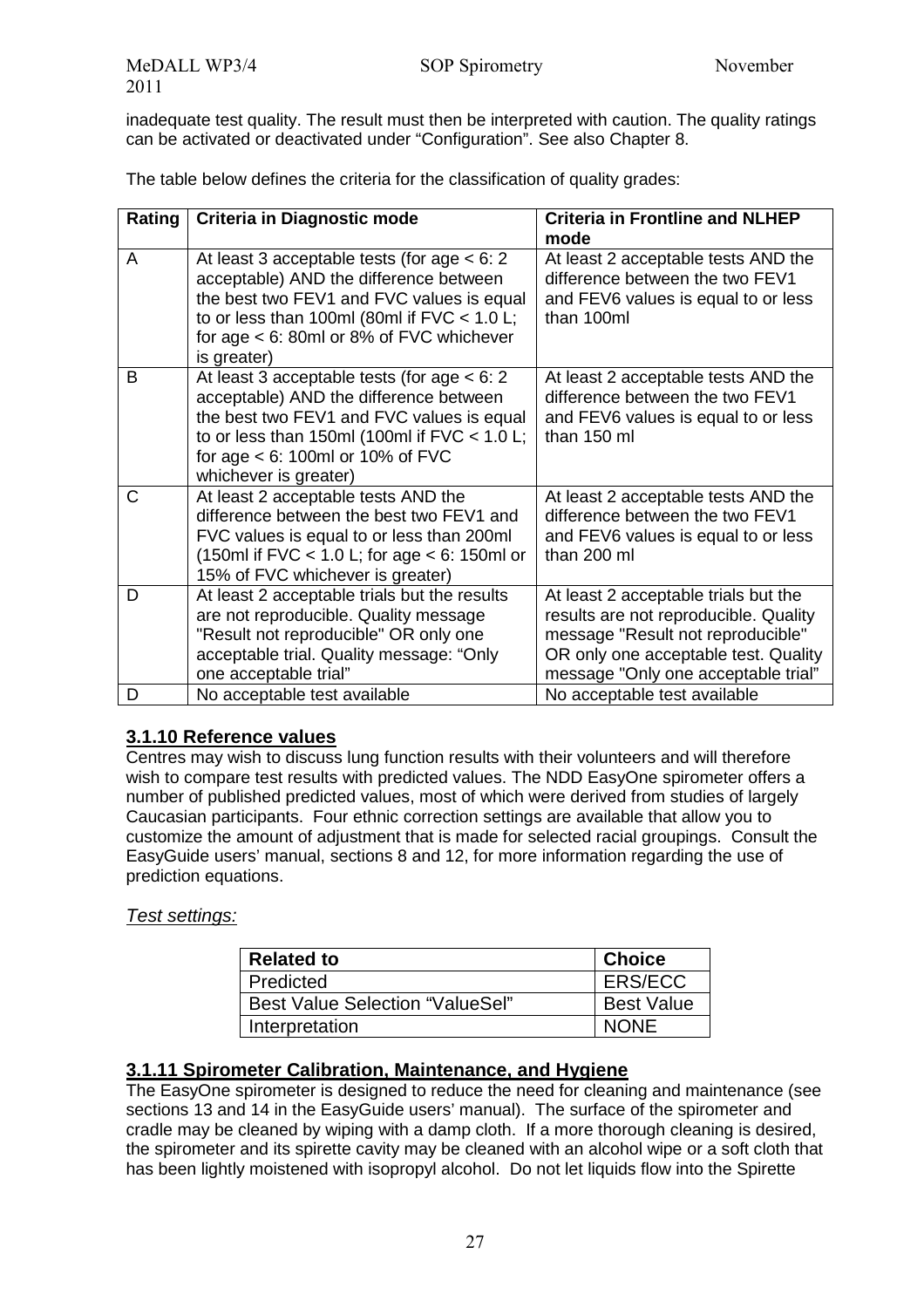inadequate test quality. The result must then be interpreted with caution. The quality ratings can be activated or deactivated under "Configuration". See also Chapter 8.

The table below defines the criteria for the classification of quality grades:

| Rating | Criteria in Diagnostic mode                                                                                                                                                                                                                           | <b>Criteria in Frontline and NLHEP</b>                                                                                                                                                            |
|--------|-------------------------------------------------------------------------------------------------------------------------------------------------------------------------------------------------------------------------------------------------------|---------------------------------------------------------------------------------------------------------------------------------------------------------------------------------------------------|
|        |                                                                                                                                                                                                                                                       | mode                                                                                                                                                                                              |
| A      | At least 3 acceptable tests (for age $<$ 6: 2<br>acceptable) AND the difference between<br>the best two FEV1 and FVC values is equal<br>to or less than 100ml (80ml if $FVC < 1.0$ L;<br>for age $<$ 6: 80ml or 8% of FVC whichever<br>is greater)    | At least 2 acceptable tests AND the<br>difference between the two FEV1<br>and FEV6 values is equal to or less<br>than 100ml                                                                       |
| B      | At least 3 acceptable tests (for age $<$ 6: 2<br>acceptable) AND the difference between<br>the best two FEV1 and FVC values is equal<br>to or less than 150ml (100ml if $FVC < 1.0$ L;<br>for age $<$ 6: 100ml or 10% of FVC<br>whichever is greater) | At least 2 acceptable tests AND the<br>difference between the two FEV1<br>and FEV6 values is equal to or less<br>than 150 ml                                                                      |
| C      | At least 2 acceptable tests AND the<br>difference between the best two FEV1 and<br>FVC values is equal to or less than 200ml<br>(150ml if FVC $<$ 1.0 L; for age $<$ 6: 150ml or<br>15% of FVC whichever is greater)                                  | At least 2 acceptable tests AND the<br>difference between the two FEV1<br>and FEV6 values is equal to or less<br>than 200 ml                                                                      |
| D      | At least 2 acceptable trials but the results<br>are not reproducible. Quality message<br>"Result not reproducible" OR only one<br>acceptable trial. Quality message: "Only<br>one acceptable trial"                                                   | At least 2 acceptable trials but the<br>results are not reproducible. Quality<br>message "Result not reproducible"<br>OR only one acceptable test. Quality<br>message "Only one acceptable trial" |
| D      | No acceptable test available                                                                                                                                                                                                                          | No acceptable test available                                                                                                                                                                      |

#### **3.1.10 Reference values**

Centres may wish to discuss lung function results with their volunteers and will therefore wish to compare test results with predicted values. The NDD EasyOne spirometer offers a number of published predicted values, most of which were derived from studies of largely Caucasian participants. Four ethnic correction settings are available that allow you to customize the amount of adjustment that is made for selected racial groupings. Consult the EasyGuide users' manual, sections 8 and 12, for more information regarding the use of prediction equations.

#### Test settings:

| <b>Related to</b>                      | <b>Choice</b>     |
|----------------------------------------|-------------------|
| Predicted                              | <b>ERS/ECC</b>    |
| <b>Best Value Selection "ValueSel"</b> | <b>Best Value</b> |
| Interpretation                         | <b>NONE</b>       |

#### **3.1.11 Spirometer Calibration, Maintenance, and Hygiene**

The EasyOne spirometer is designed to reduce the need for cleaning and maintenance (see sections 13 and 14 in the EasyGuide users' manual). The surface of the spirometer and cradle may be cleaned by wiping with a damp cloth. If a more thorough cleaning is desired, the spirometer and its spirette cavity may be cleaned with an alcohol wipe or a soft cloth that has been lightly moistened with isopropyl alcohol. Do not let liquids flow into the Spirette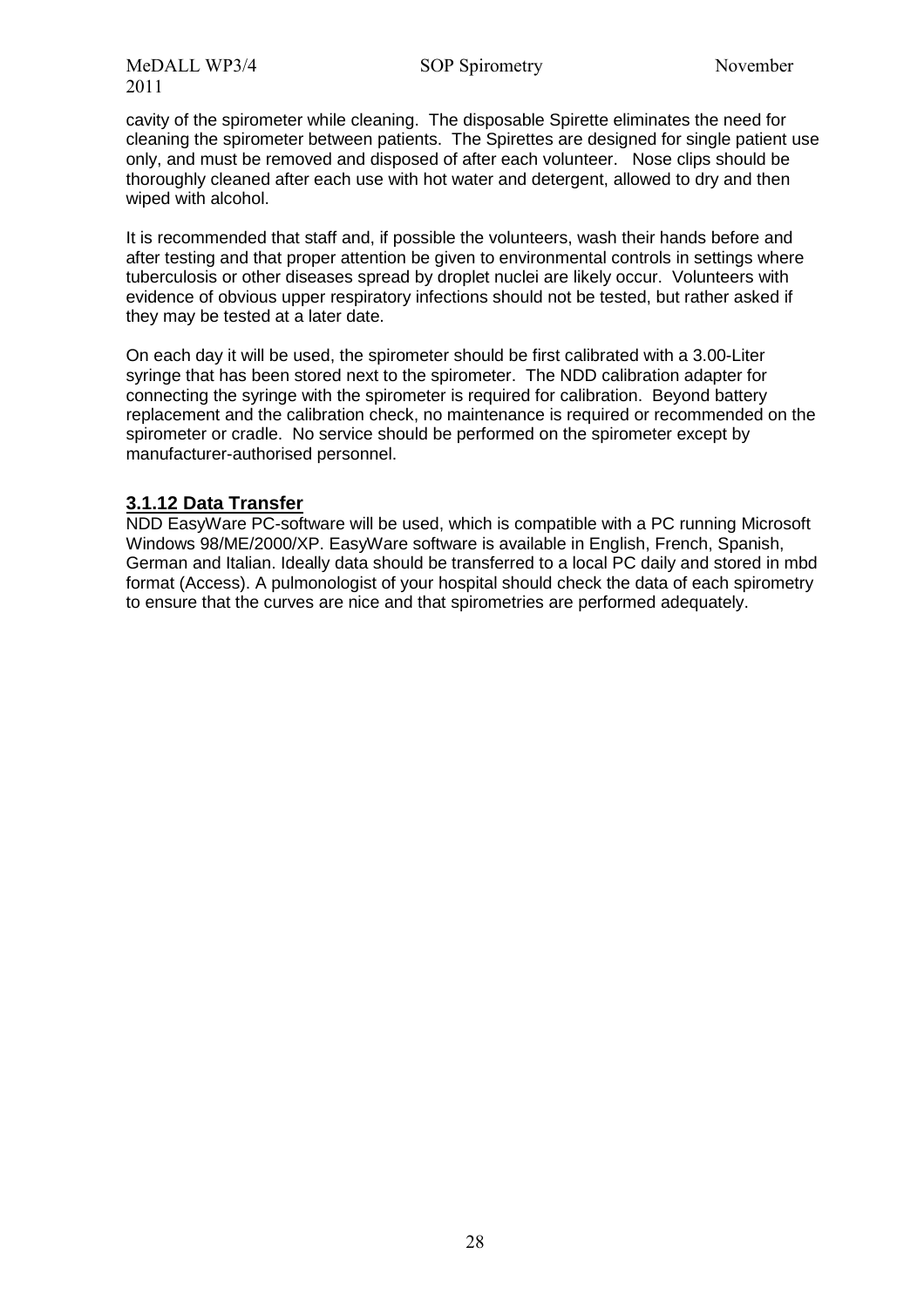cavity of the spirometer while cleaning. The disposable Spirette eliminates the need for cleaning the spirometer between patients. The Spirettes are designed for single patient use only, and must be removed and disposed of after each volunteer. Nose clips should be thoroughly cleaned after each use with hot water and detergent, allowed to dry and then wiped with alcohol.

It is recommended that staff and, if possible the volunteers, wash their hands before and after testing and that proper attention be given to environmental controls in settings where tuberculosis or other diseases spread by droplet nuclei are likely occur. Volunteers with evidence of obvious upper respiratory infections should not be tested, but rather asked if they may be tested at a later date.

On each day it will be used, the spirometer should be first calibrated with a 3.00-Liter syringe that has been stored next to the spirometer. The NDD calibration adapter for connecting the syringe with the spirometer is required for calibration. Beyond battery replacement and the calibration check, no maintenance is required or recommended on the spirometer or cradle. No service should be performed on the spirometer except by manufacturer-authorised personnel.

#### **3.1.12 Data Transfer**

NDD EasyWare PC-software will be used, which is compatible with a PC running Microsoft Windows 98/ME/2000/XP. EasyWare software is available in English, French, Spanish, German and Italian. Ideally data should be transferred to a local PC daily and stored in mbd format (Access). A pulmonologist of your hospital should check the data of each spirometry to ensure that the curves are nice and that spirometries are performed adequately.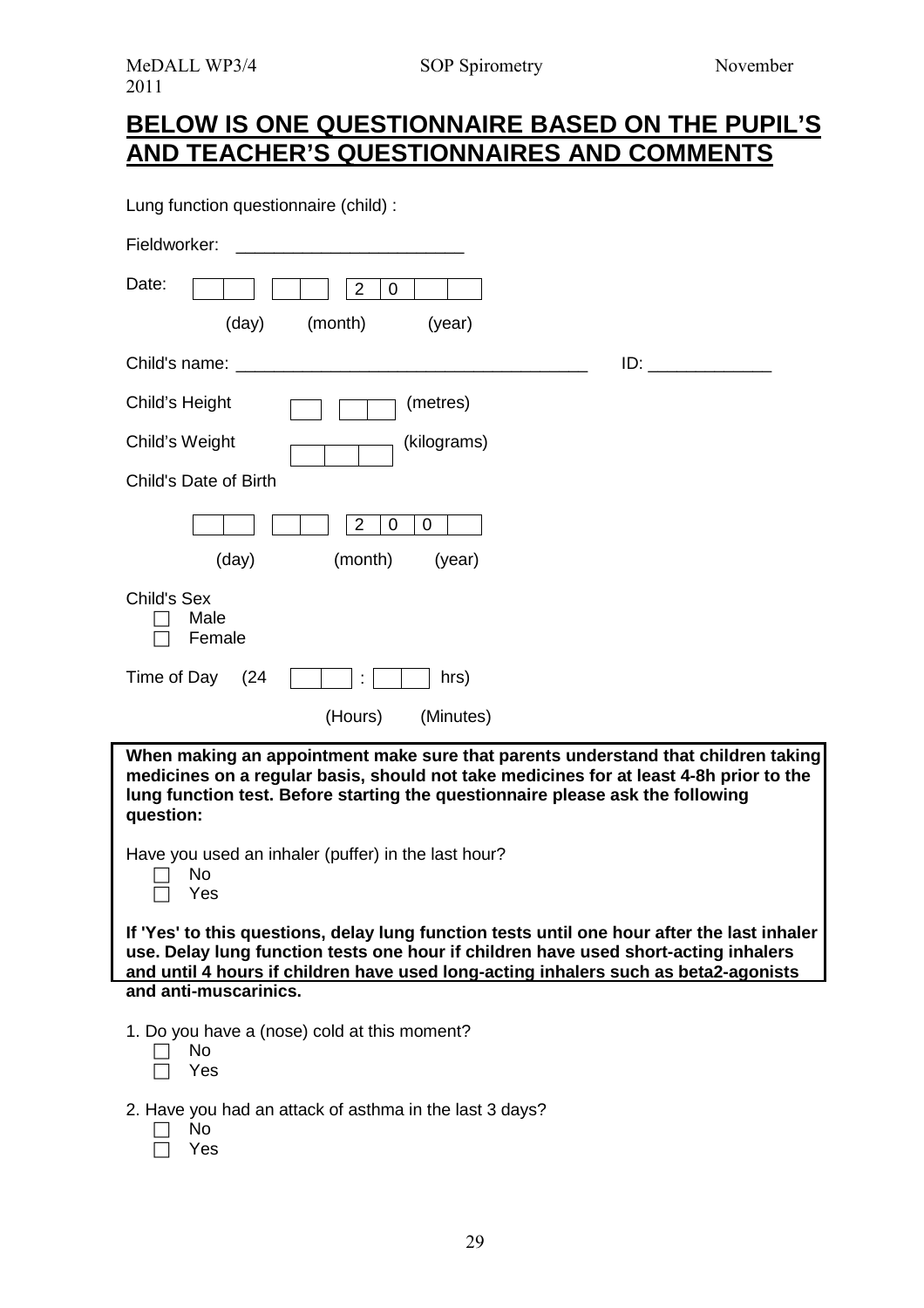# **BELOW IS ONE QUESTIONNAIRE BASED ON THE PUPIL'S AND TEACHER'S QUESTIONNAIRES AND COMMENTS**

Lung function questionnaire (child) :

| Fieldworker:                                                                                                                                                                                                                                                               |
|----------------------------------------------------------------------------------------------------------------------------------------------------------------------------------------------------------------------------------------------------------------------------|
| Date:<br>$\overline{2}$<br>0                                                                                                                                                                                                                                               |
| (day)<br>(month)<br>(year)                                                                                                                                                                                                                                                 |
| $ID:$ $I = \{I, I\}$                                                                                                                                                                                                                                                       |
| (metres)<br>Child's Height                                                                                                                                                                                                                                                 |
| (kilograms)<br>Child's Weight                                                                                                                                                                                                                                              |
| Child's Date of Birth                                                                                                                                                                                                                                                      |
| $\overline{2}$<br>0<br>0                                                                                                                                                                                                                                                   |
| (day)<br>(month)<br>(year)                                                                                                                                                                                                                                                 |
| Child's Sex<br>Male<br>Female                                                                                                                                                                                                                                              |
| Time of Day<br>(24)<br>hrs)                                                                                                                                                                                                                                                |
| (Hours)<br>(Minutes)                                                                                                                                                                                                                                                       |
| When making an appointment make sure that parents understand that children taking<br>medicines on a regular basis, should not take medicines for at least 4-8h prior to the<br>lung function test. Before starting the questionnaire please ask the following<br>question: |
| Have you used an inhaler (puffer) in the last hour?<br>No<br>Yes                                                                                                                                                                                                           |
| If 'Yes' to this questions, delay lung function tests until one hour after the last inhaler<br>use. Delay lung function tests one hour if children have used short-acting inhalers<br>and until 4 hours if children have used long-acting inhalers such as beta2-agonists  |
| and anti-muscarinics.                                                                                                                                                                                                                                                      |
| 1. Do you have a (nose) cold at this moment?<br>No<br>Yes                                                                                                                                                                                                                  |
| 2. Have you had an attack of asthma in the last 3 days?                                                                                                                                                                                                                    |

- $\Box$  No
- Yes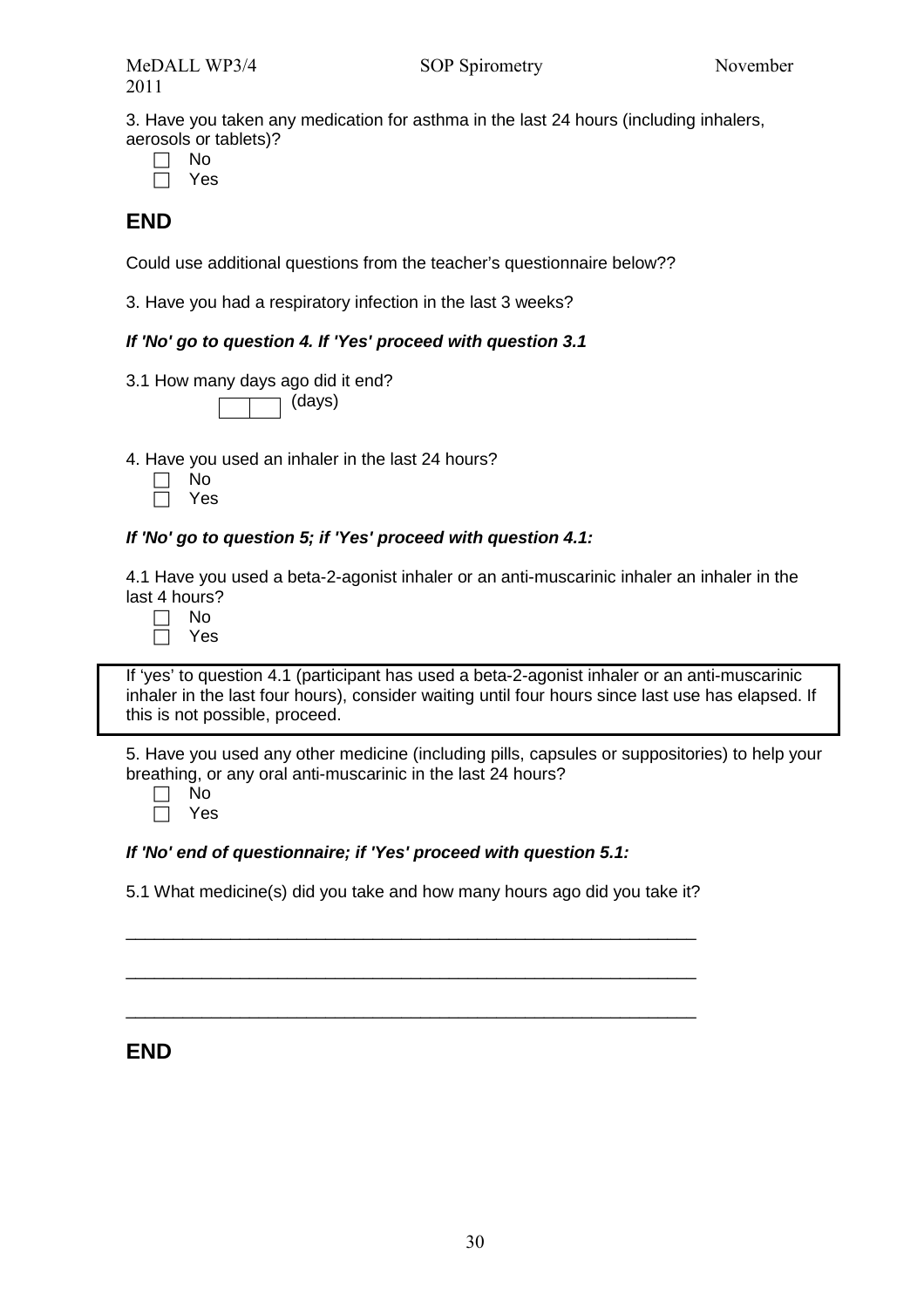3. Have you taken any medication for asthma in the last 24 hours (including inhalers, aerosols or tablets)?

| ۰.<br>× |
|---------|
|         |

Yes

### **END**

Could use additional questions from the teacher's questionnaire below??

3. Have you had a respiratory infection in the last 3 weeks?

#### **If 'No' go to question 4. If 'Yes' proceed with question 3.1**

3.1 How many days ago did it end?

(days)

4. Have you used an inhaler in the last 24 hours?

| חמ |
|----|
| PΞ |

# **If 'No' go to question 5; if 'Yes' proceed with question 4.1:**

4.1 Have you used a beta-2-agonist inhaler or an anti-muscarinic inhaler an inhaler in the last 4 hours?

| ٠ |
|---|
|   |

If 'yes' to question 4.1 (participant has used a beta-2-agonist inhaler or an anti-muscarinic inhaler in the last four hours), consider waiting until four hours since last use has elapsed. If this is not possible, proceed.

5. Have you used any other medicine (including pills, capsules or suppositories) to help your breathing, or any oral anti-muscarinic in the last 24 hours?

| N٥ |
|----|
| ⊷  |

#### **If 'No' end of questionnaire; if 'Yes' proceed with question 5.1:**

5.1 What medicine(s) did you take and how many hours ago did you take it?

\_\_\_\_\_\_\_\_\_\_\_\_\_\_\_\_\_\_\_\_\_\_\_\_\_\_\_\_\_\_\_\_\_\_\_\_\_\_\_\_\_\_\_\_\_\_\_\_\_\_\_\_\_\_\_\_\_\_\_\_

\_\_\_\_\_\_\_\_\_\_\_\_\_\_\_\_\_\_\_\_\_\_\_\_\_\_\_\_\_\_\_\_\_\_\_\_\_\_\_\_\_\_\_\_\_\_\_\_\_\_\_\_\_\_\_\_\_\_\_\_

\_\_\_\_\_\_\_\_\_\_\_\_\_\_\_\_\_\_\_\_\_\_\_\_\_\_\_\_\_\_\_\_\_\_\_\_\_\_\_\_\_\_\_\_\_\_\_\_\_\_\_\_\_\_\_\_\_\_\_\_

#### **END**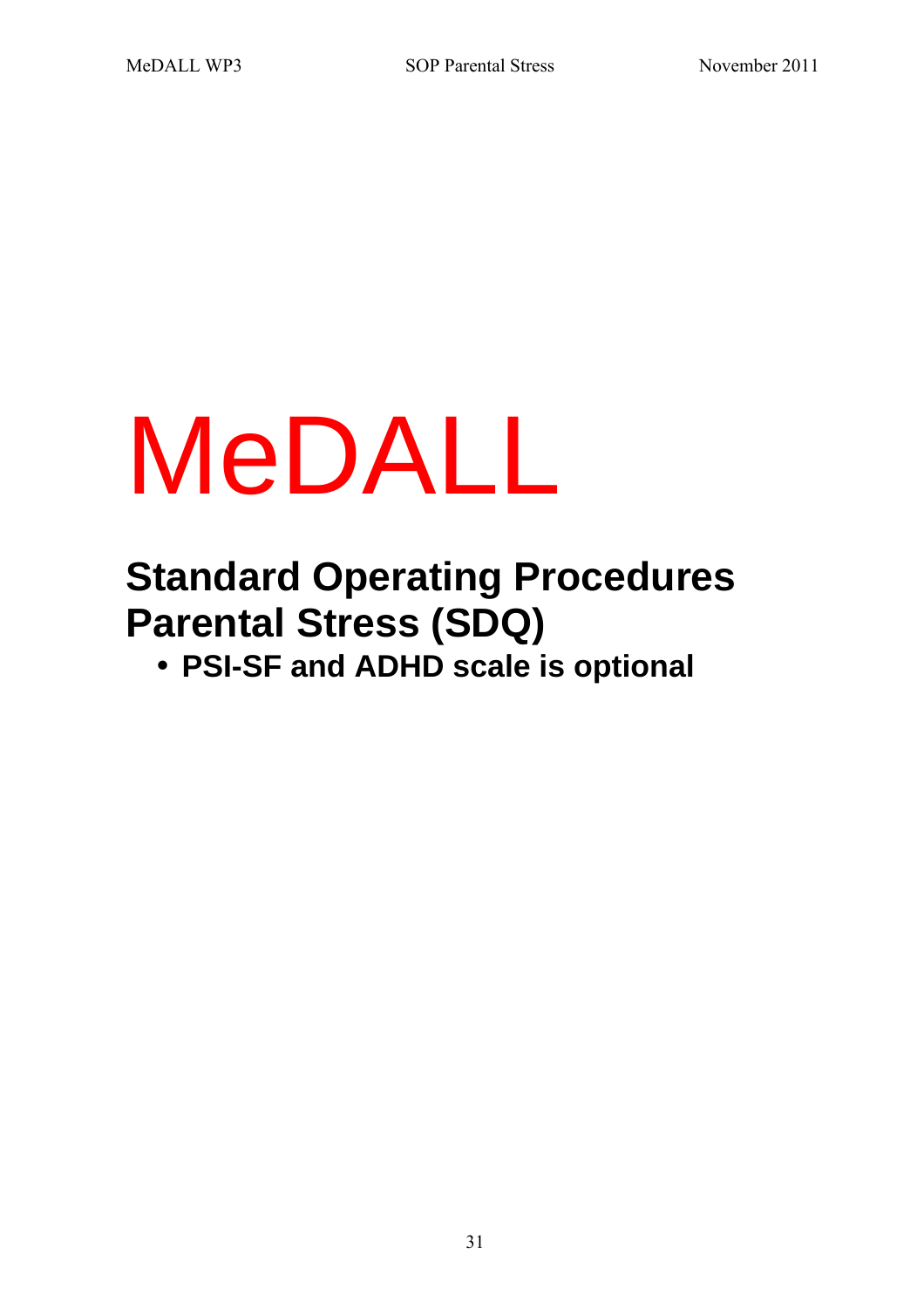# MeDALL

# **Standard Operating Procedures Parental Stress (SDQ)**

• **PSI-SF and ADHD scale is optional**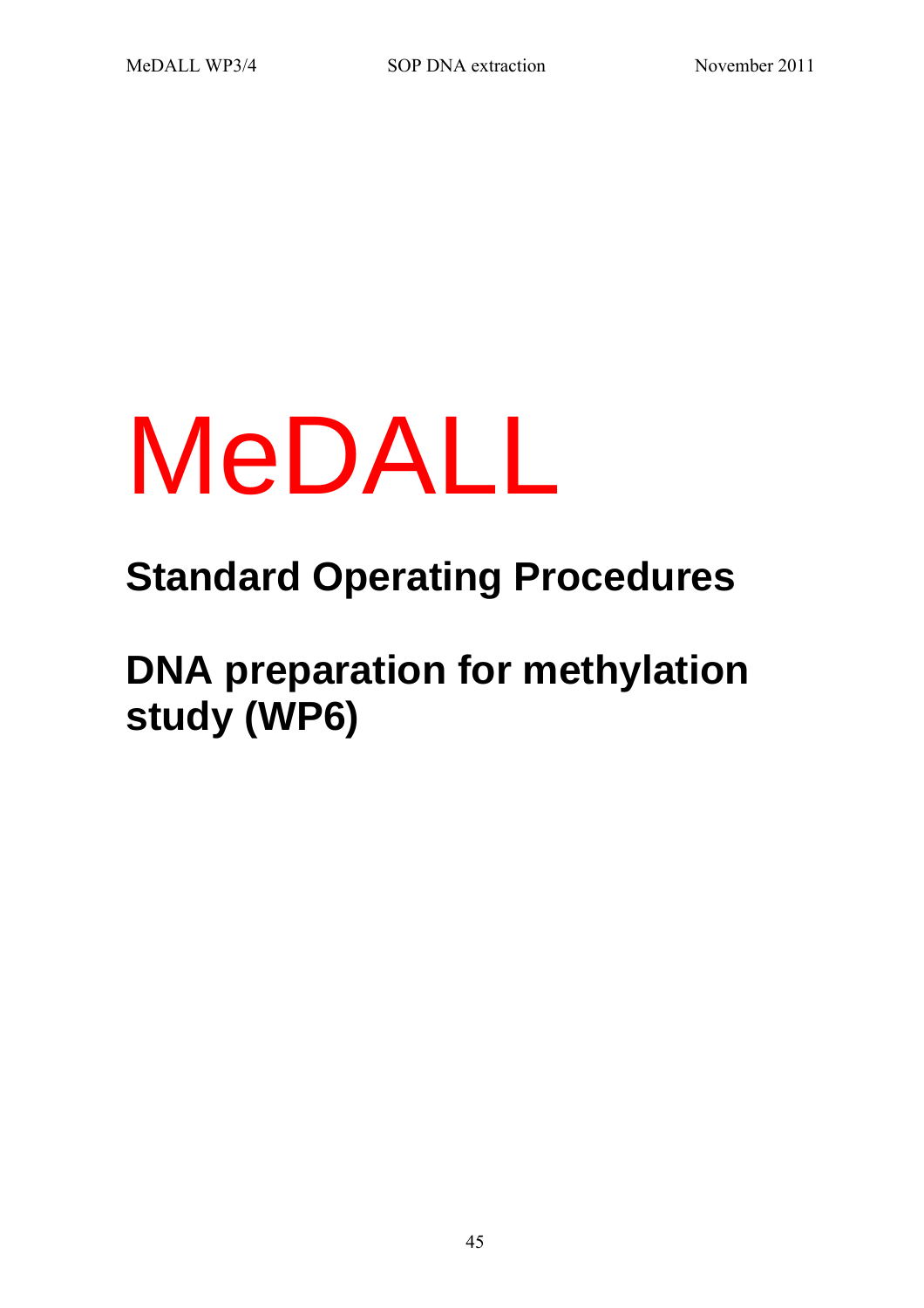# MeDALL

# **Standard Operating Procedures**

**DNA preparation for methylation study (WP6)**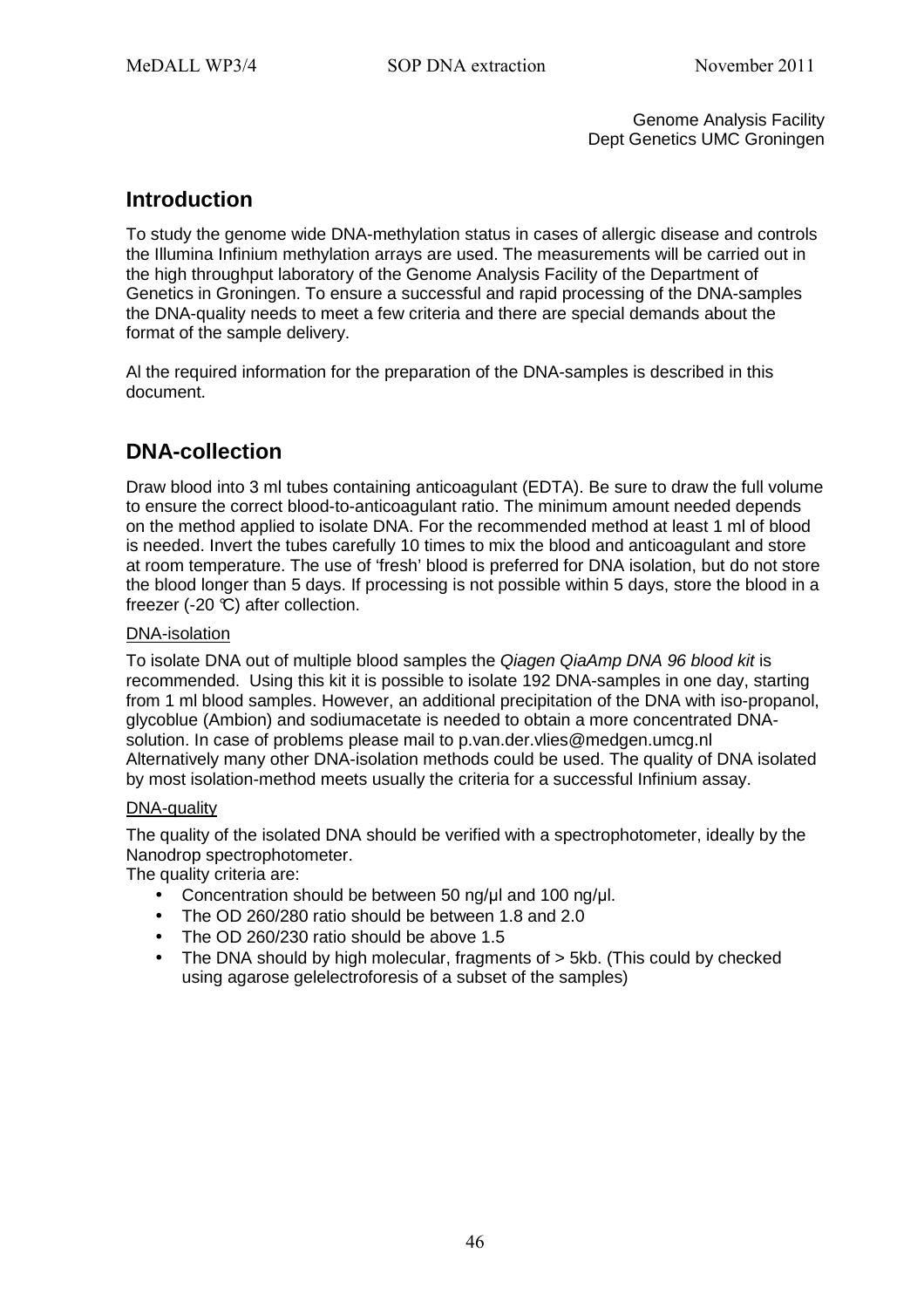Genome Analysis Facility Dept Genetics UMC Groningen

### **Introduction**

To study the genome wide DNA-methylation status in cases of allergic disease and controls the Illumina Infinium methylation arrays are used. The measurements will be carried out in the high throughput laboratory of the Genome Analysis Facility of the Department of Genetics in Groningen. To ensure a successful and rapid processing of the DNA-samples the DNA-quality needs to meet a few criteria and there are special demands about the format of the sample delivery.

Al the required information for the preparation of the DNA-samples is described in this document.

## **DNA-collection**

Draw blood into 3 ml tubes containing anticoagulant (EDTA). Be sure to draw the full volume to ensure the correct blood-to-anticoagulant ratio. The minimum amount needed depends on the method applied to isolate DNA. For the recommended method at least 1 ml of blood is needed. Invert the tubes carefully 10 times to mix the blood and anticoagulant and store at room temperature. The use of 'fresh' blood is preferred for DNA isolation, but do not store the blood longer than 5 days. If processing is not possible within 5 days, store the blood in a freezer  $(-20 \, \text{C})$  after collection.

#### DNA-isolation

To isolate DNA out of multiple blood samples the Qiagen QiaAmp DNA 96 blood kit is recommended. Using this kit it is possible to isolate 192 DNA-samples in one day, starting from 1 ml blood samples. However, an additional precipitation of the DNA with iso-propanol, glycoblue (Ambion) and sodiumacetate is needed to obtain a more concentrated DNAsolution. In case of problems please mail to p.van.der.vlies@medgen.umcg.nl Alternatively many other DNA-isolation methods could be used. The quality of DNA isolated by most isolation-method meets usually the criteria for a successful Infinium assay.

#### DNA-quality

The quality of the isolated DNA should be verified with a spectrophotometer, ideally by the Nanodrop spectrophotometer.

The quality criteria are:

- Concentration should be between 50 ng/µl and 100 ng/µl.
- The OD 260/280 ratio should be between 1.8 and 2.0
- The OD 260/230 ratio should be above 1.5
- The DNA should by high molecular, fragments of  $>$  5kb. (This could by checked using agarose gelelectroforesis of a subset of the samples)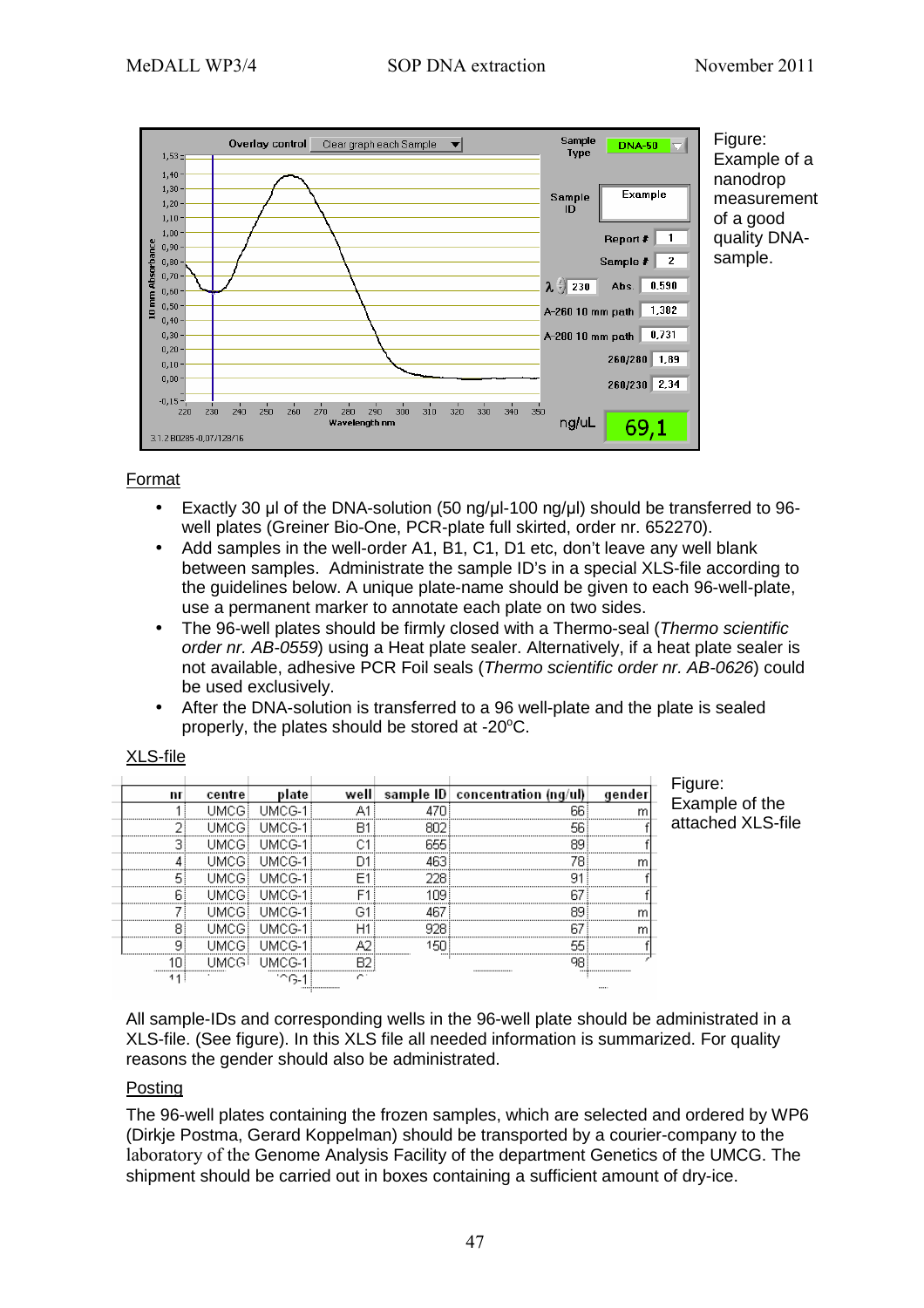

#### Format

- Exactly 30 µl of the DNA-solution (50 ng/µl-100 ng/µl) should be transferred to 96 well plates (Greiner Bio-One, PCR-plate full skirted, order nr. 652270).
- Add samples in the well-order A1, B1, C1, D1 etc, don't leave any well blank between samples. Administrate the sample ID's in a special XLS-file according to the guidelines below. A unique plate-name should be given to each 96-well-plate, use a permanent marker to annotate each plate on two sides.
- The 96-well plates should be firmly closed with a Thermo-seal (Thermo scientific order nr. AB-0559) using a Heat plate sealer. Alternatively, if a heat plate sealer is not available, adhesive PCR Foil seals (Thermo scientific order nr. AB-0626) could be used exclusively.
- After the DNA-solution is transferred to a 96 well-plate and the plate is sealed properly, the plates should be stored at  $-20^{\circ}$ C.

| nı | centre         | well | sample $ D $ concentration (ng/ul) |  |
|----|----------------|------|------------------------------------|--|
|    |                |      |                                    |  |
|    |                |      | <br>                               |  |
|    |                |      |                                    |  |
|    |                |      |                                    |  |
|    |                |      |                                    |  |
|    |                |      |                                    |  |
|    |                |      |                                    |  |
|    |                |      |                                    |  |
|    |                |      |                                    |  |
|    |                |      |                                    |  |
|    | $\blacksquare$ |      |                                    |  |

XLS-file

Figure: Example of the attached XLS-file

 $\overline{m}$ 

All sample-IDs and corresponding wells in the 96-well plate should be administrated in a XLS-file. (See figure). In this XLS file all needed information is summarized. For quality reasons the gender should also be administrated.

#### Posting

The 96-well plates containing the frozen samples, which are selected and ordered by WP6 (Dirkje Postma, Gerard Koppelman) should be transported by a courier-company to the laboratory of the Genome Analysis Facility of the department Genetics of the UMCG. The shipment should be carried out in boxes containing a sufficient amount of dry-ice.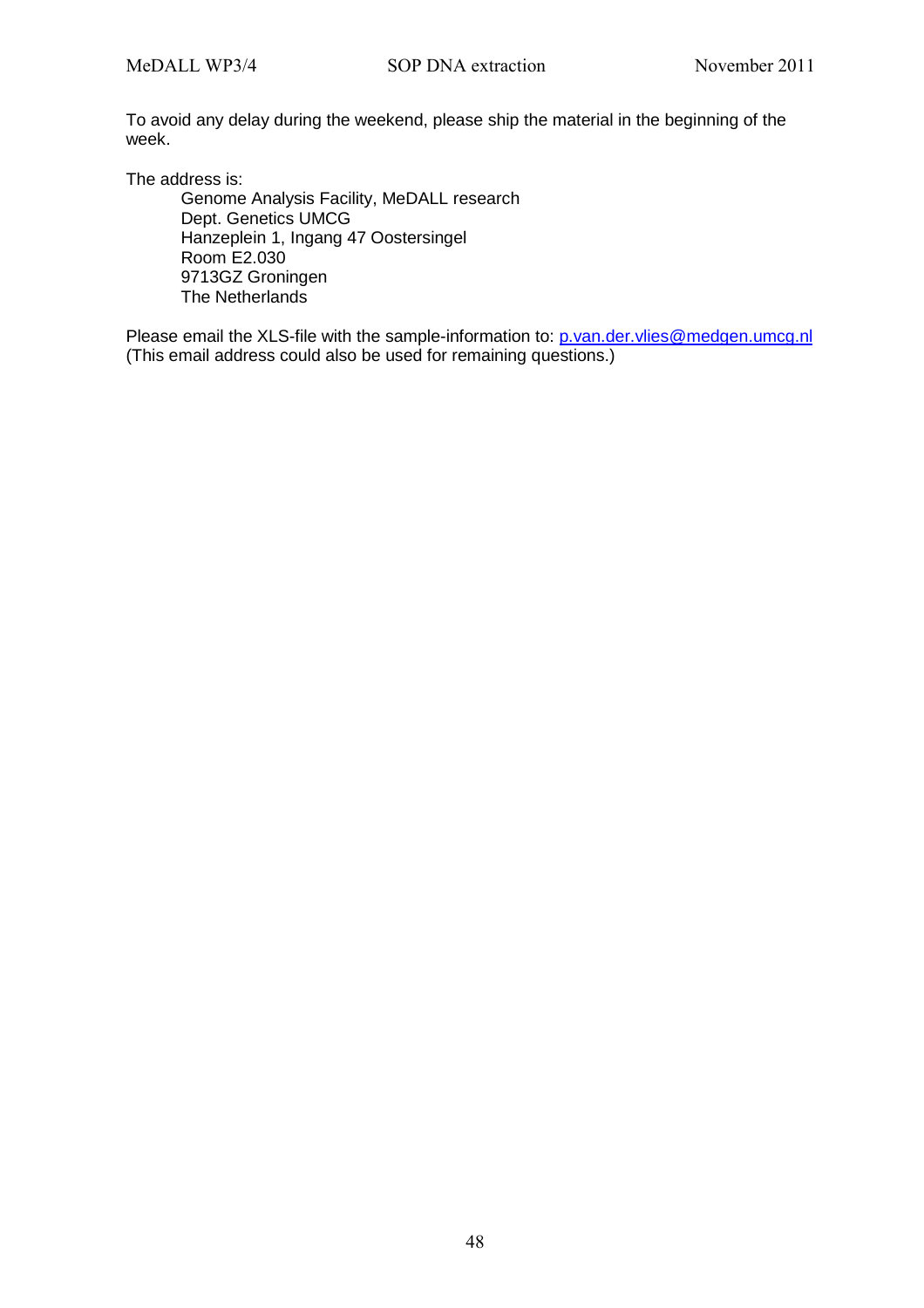To avoid any delay during the weekend, please ship the material in the beginning of the week.

The address is:

Genome Analysis Facility, MeDALL research Dept. Genetics UMCG Hanzeplein 1, Ingang 47 Oostersingel Room E2.030 9713GZ Groningen The Netherlands

Please email the XLS-file with the sample-information to: p.van.der.vlies@medgen.umcg.nl (This email address could also be used for remaining questions.)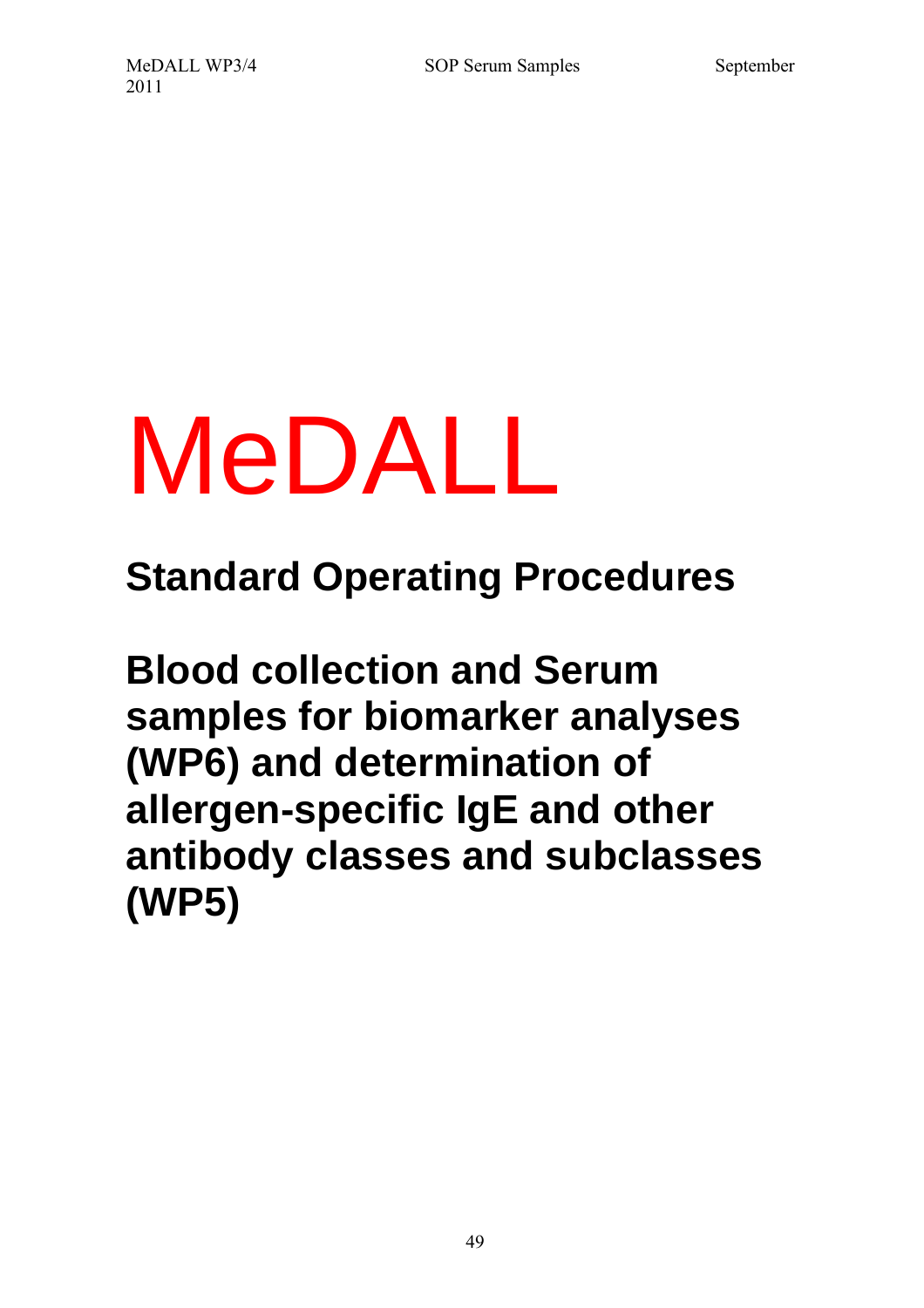# MeDALL

**Standard Operating Procedures** 

**Blood collection and Serum samples for biomarker analyses (WP6) and determination of allergen-specific IgE and other antibody classes and subclasses (WP5)**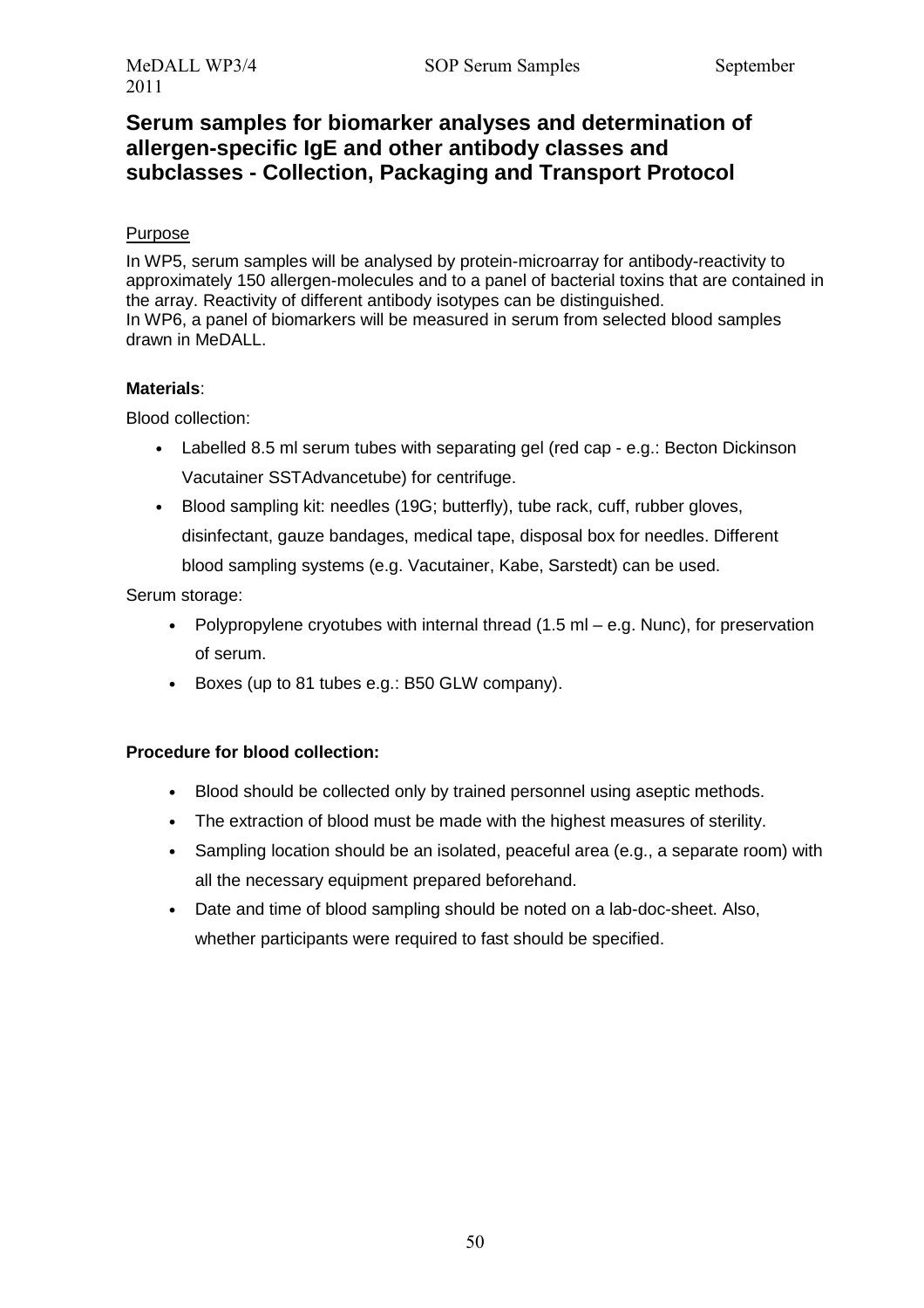# **Serum samples for biomarker analyses and determination of allergen-specific IgE and other antibody classes and subclasses - Collection, Packaging and Transport Protocol**

#### Purpose

In WP5, serum samples will be analysed by protein-microarray for antibody-reactivity to approximately 150 allergen-molecules and to a panel of bacterial toxins that are contained in the array. Reactivity of different antibody isotypes can be distinguished. In WP6, a panel of biomarkers will be measured in serum from selected blood samples drawn in MeDALL.

#### **Materials**:

Blood collection:

- Labelled 8.5 ml serum tubes with separating gel (red cap e.g.: Becton Dickinson Vacutainer SSTAdvancetube) for centrifuge.
- Blood sampling kit: needles (19G; butterfly), tube rack, cuff, rubber gloves, disinfectant, gauze bandages, medical tape, disposal box for needles. Different blood sampling systems (e.g. Vacutainer, Kabe, Sarstedt) can be used.

Serum storage:

- Polypropylene cryotubes with internal thread  $(1.5 \text{ ml} e.a.$  Nunc), for preservation of serum.
- Boxes (up to 81 tubes e.g.: B50 GLW company).

#### **Procedure for blood collection:**

- Blood should be collected only by trained personnel using aseptic methods.
- The extraction of blood must be made with the highest measures of sterility.
- Sampling location should be an isolated, peaceful area (e.g., a separate room) with all the necessary equipment prepared beforehand.
- Date and time of blood sampling should be noted on a lab-doc-sheet. Also, whether participants were required to fast should be specified.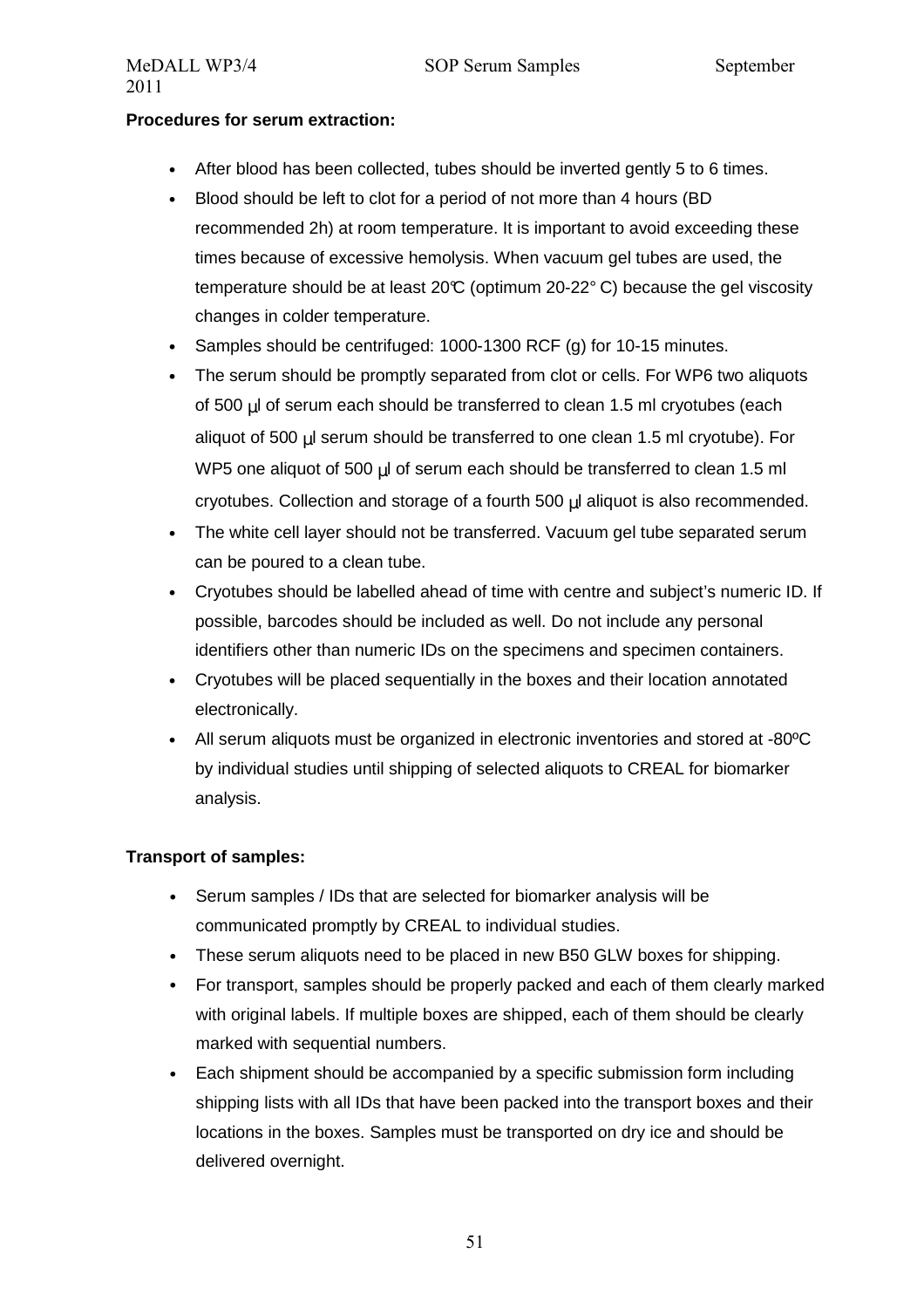#### **Procedures for serum extraction:**

- After blood has been collected, tubes should be inverted gently 5 to 6 times.
- Blood should be left to clot for a period of not more than 4 hours (BD recommended 2h) at room temperature. It is important to avoid exceeding these times because of excessive hemolysis. When vacuum gel tubes are used, the temperature should be at least  $20^{\circ}$  (optimum 20-22 $^{\circ}$  C) because the gel viscosity changes in colder temperature.
- Samples should be centrifuged: 1000-1300 RCF (g) for 10-15 minutes.
- The serum should be promptly separated from clot or cells. For WP6 two aliquots of 500 µl of serum each should be transferred to clean 1.5 ml cryotubes (each aliquot of 500 µl serum should be transferred to one clean 1.5 ml cryotube). For WP5 one aliquot of 500 µl of serum each should be transferred to clean 1.5 ml cryotubes. Collection and storage of a fourth 500 µl aliquot is also recommended.
- The white cell layer should not be transferred. Vacuum gel tube separated serum can be poured to a clean tube.
- Cryotubes should be labelled ahead of time with centre and subject's numeric ID. If possible, barcodes should be included as well. Do not include any personal identifiers other than numeric IDs on the specimens and specimen containers.
- Cryotubes will be placed sequentially in the boxes and their location annotated electronically.
- All serum aliquots must be organized in electronic inventories and stored at -80ºC by individual studies until shipping of selected aliquots to CREAL for biomarker analysis.

#### **Transport of samples:**

- Serum samples / IDs that are selected for biomarker analysis will be communicated promptly by CREAL to individual studies.
- These serum aliquots need to be placed in new B50 GLW boxes for shipping.
- For transport, samples should be properly packed and each of them clearly marked with original labels. If multiple boxes are shipped, each of them should be clearly marked with sequential numbers.
- Each shipment should be accompanied by a specific submission form including shipping lists with all IDs that have been packed into the transport boxes and their locations in the boxes. Samples must be transported on dry ice and should be delivered overnight.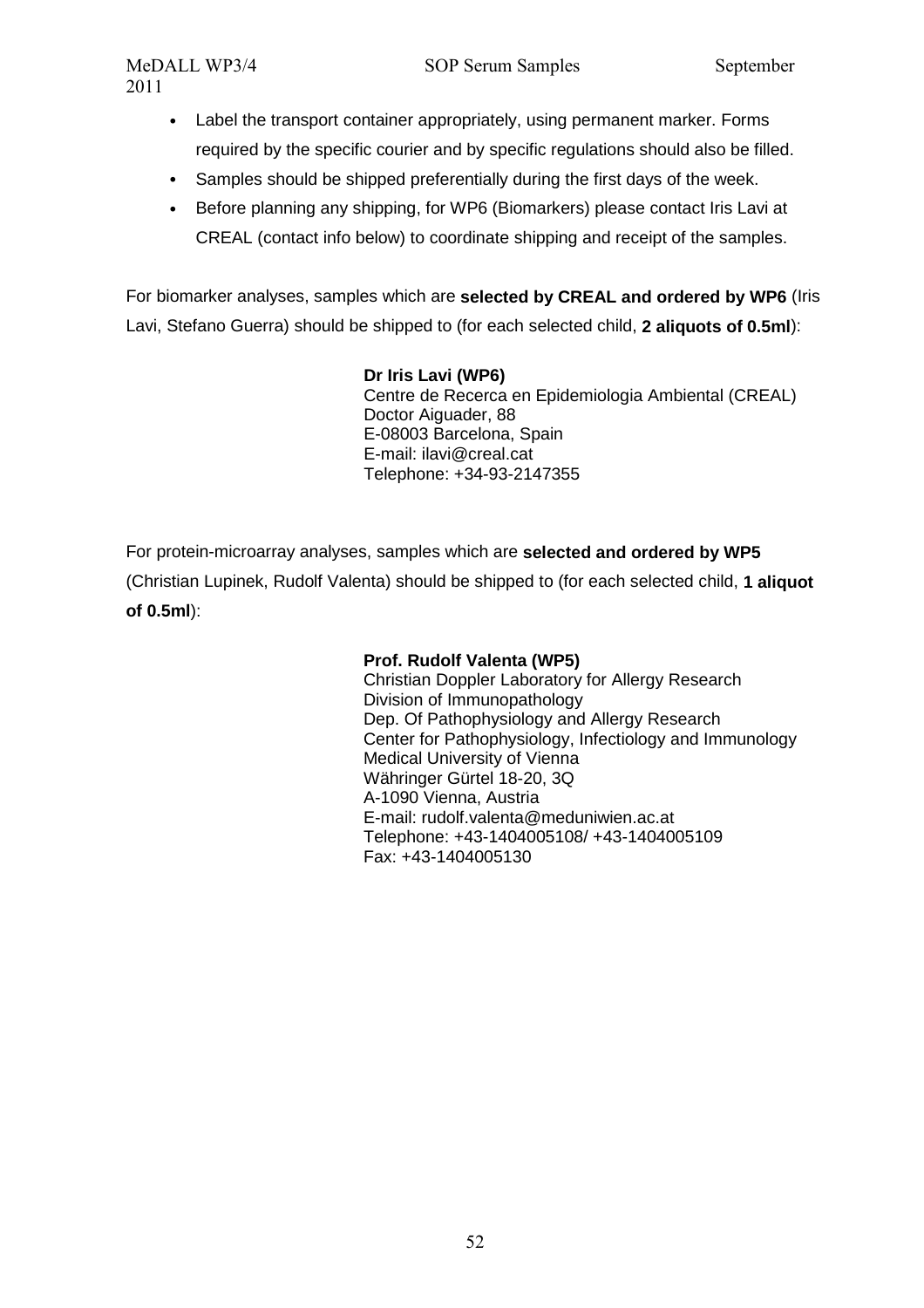- Label the transport container appropriately, using permanent marker. Forms required by the specific courier and by specific regulations should also be filled.
- Samples should be shipped preferentially during the first days of the week.
- Before planning any shipping, for WP6 (Biomarkers) please contact Iris Lavi at CREAL (contact info below) to coordinate shipping and receipt of the samples.

For biomarker analyses, samples which are **selected by CREAL and ordered by WP6** (Iris Lavi, Stefano Guerra) should be shipped to (for each selected child, **2 aliquots of 0.5ml**):

#### **Dr Iris Lavi (WP6)**

Centre de Recerca en Epidemiologia Ambiental (CREAL) Doctor Aiguader, 88 E-08003 Barcelona, Spain E-mail: ilavi@creal.cat Telephone: +34-93-2147355

For protein-microarray analyses, samples which are **selected and ordered by WP5** (Christian Lupinek, Rudolf Valenta) should be shipped to (for each selected child, **1 aliquot of 0.5ml**):

#### **Prof. Rudolf Valenta (WP5)**

Christian Doppler Laboratory for Allergy Research Division of Immunopathology Dep. Of Pathophysiology and Allergy Research Center for Pathophysiology, Infectiology and Immunology Medical University of Vienna Währinger Gürtel 18-20, 3Q A-1090 Vienna, Austria E-mail: rudolf.valenta@meduniwien.ac.at Telephone: +43-1404005108/ +43-1404005109 Fax: +43-1404005130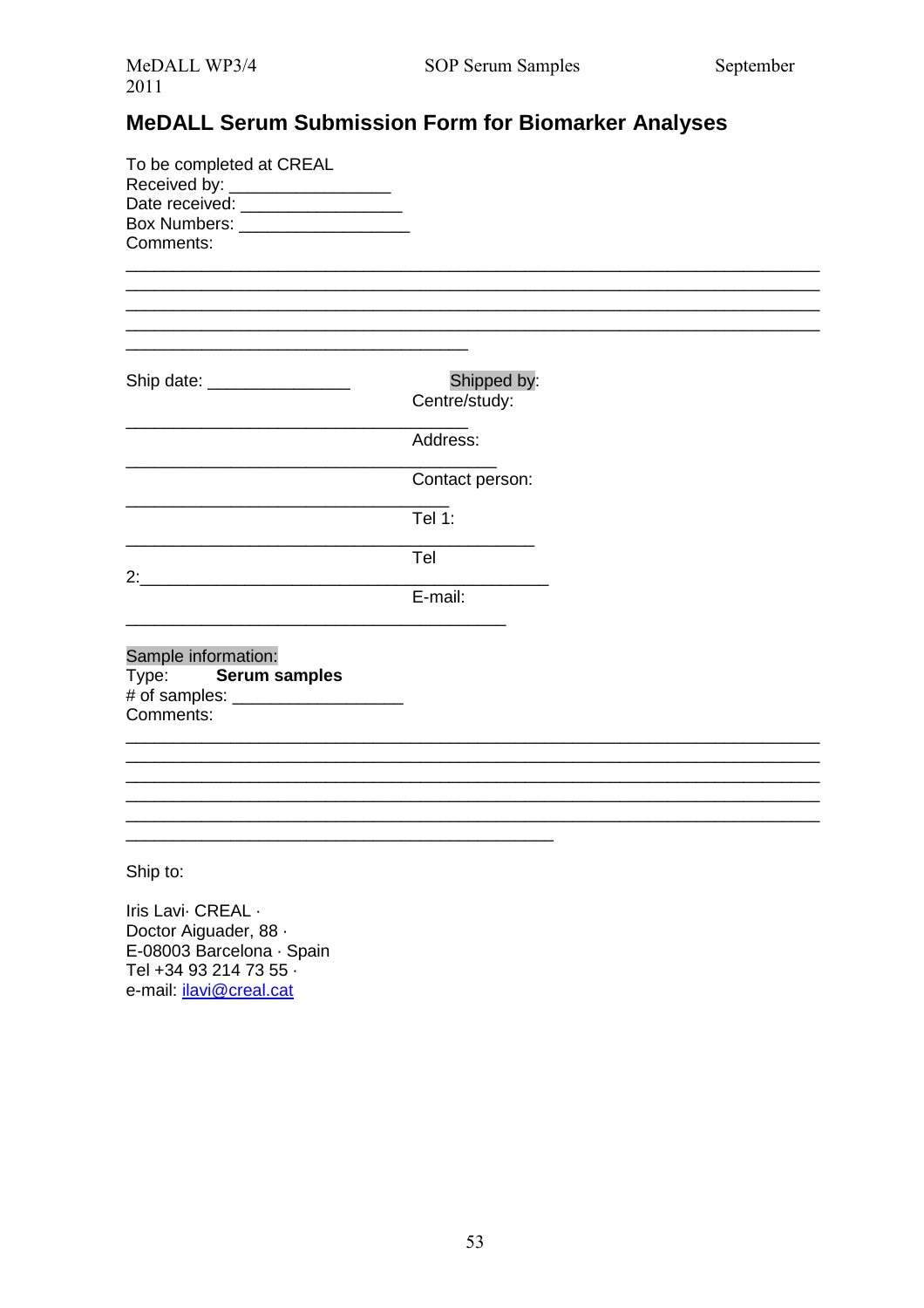# **MeDALL Serum Submission Form for Biomarker Analyses**

| To be completed at CREAL<br>Received by: __________________<br>Date received: __________________<br>Comments: |                              |  |
|---------------------------------------------------------------------------------------------------------------|------------------------------|--|
| Ship date: __________________                                                                                 | Shipped by:<br>Centre/study: |  |
|                                                                                                               | Address:                     |  |
|                                                                                                               | Contact person:              |  |
|                                                                                                               | <b>Tel 1:</b>                |  |
|                                                                                                               | Tel                          |  |
|                                                                                                               | $E$ -mail:                   |  |
| Sample information:<br>Type: Serum samples<br>Comments:                                                       |                              |  |
|                                                                                                               |                              |  |
|                                                                                                               |                              |  |
| Ship to:                                                                                                      |                              |  |

Iris Lavi CREAL . Doctor Aiguader, 88 · E-08003 Barcelona · Spain Tel +34 93 214 73 55 · e-mail: *ilavi@creal.cat*